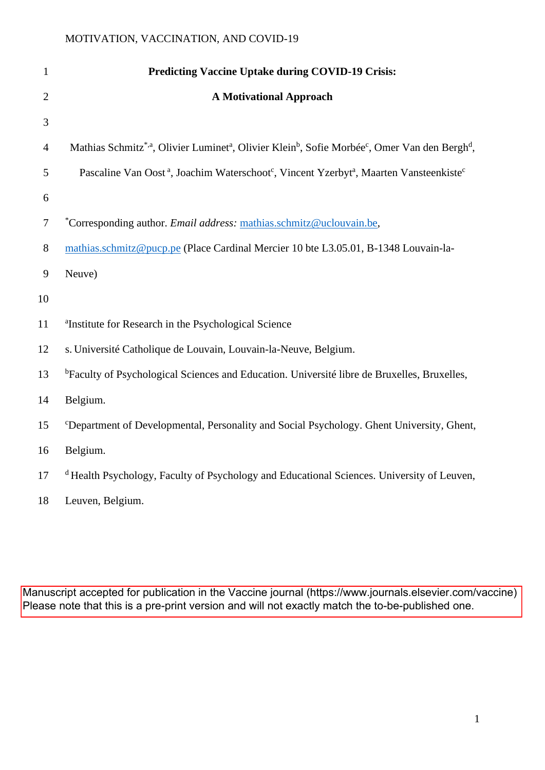| $\mathbf{1}$   | <b>Predicting Vaccine Uptake during COVID-19 Crisis:</b>                                                                                                   |
|----------------|------------------------------------------------------------------------------------------------------------------------------------------------------------|
| $\overline{2}$ | <b>A Motivational Approach</b>                                                                                                                             |
| 3              |                                                                                                                                                            |
| $\overline{4}$ | Mathias Schmitz <sup>*,a</sup> , Olivier Luminet <sup>a</sup> , Olivier Klein <sup>b</sup> , Sofie Morbée <sup>c</sup> , Omer Van den Bergh <sup>d</sup> , |
| 5              | Pascaline Van Oost <sup>a</sup> , Joachim Waterschoot <sup>c</sup> , Vincent Yzerbyt <sup>a</sup> , Maarten Vansteenkiste <sup>c</sup>                     |
| 6              |                                                                                                                                                            |
| $\tau$         | *Corresponding author. <i>Email address:</i> mathias.schmitz@uclouvain.be,                                                                                 |
| $8\,$          | mathias.schmitz@pucp.pe (Place Cardinal Mercier 10 bte L3.05.01, B-1348 Louvain-la-                                                                        |
| 9              | Neuve)                                                                                                                                                     |
| 10             |                                                                                                                                                            |
| 11             | <sup>a</sup> Institute for Research in the Psychological Science                                                                                           |
| 12             | s. Université Catholique de Louvain, Louvain-la-Neuve, Belgium.                                                                                            |
| 13             | <sup>b</sup> Faculty of Psychological Sciences and Education. Université libre de Bruxelles, Bruxelles,                                                    |
| 14             | Belgium.                                                                                                                                                   |
| 15             | <sup>c</sup> Department of Developmental, Personality and Social Psychology. Ghent University, Ghent,                                                      |
| 16             | Belgium.                                                                                                                                                   |
| 17             | <sup>d</sup> Health Psychology, Faculty of Psychology and Educational Sciences. University of Leuven,                                                      |
| 18             | Leuven, Belgium.                                                                                                                                           |

Manuscript accepted for publication in the Vaccine journal (https://www.journals.elsevier.com/vaccine) Please note that this is a pre-print version and will not exactly match the to-be-published one.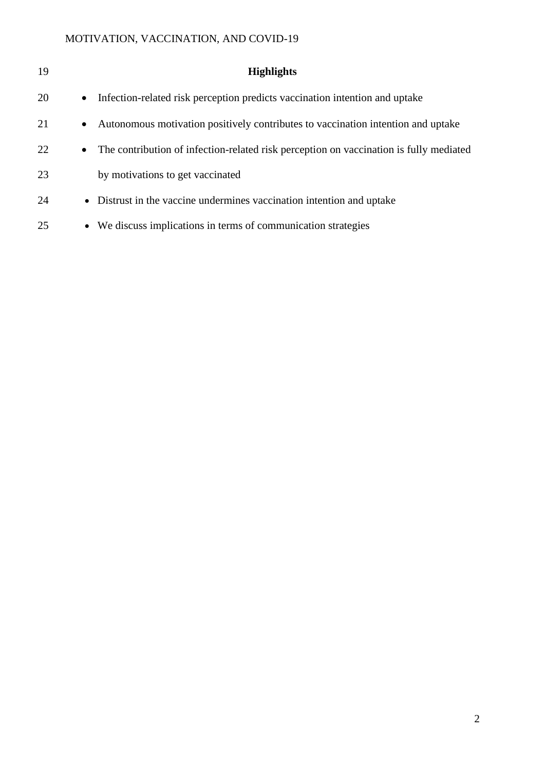| 19 |           | <b>Highlights</b>                                                                      |
|----|-----------|----------------------------------------------------------------------------------------|
| 20 | $\bullet$ | Infection-related risk perception predicts vaccination intention and uptake            |
| 21 | $\bullet$ | Autonomous motivation positively contributes to vaccination intention and uptake       |
| 22 | $\bullet$ | The contribution of infection-related risk perception on vaccination is fully mediated |
| 23 |           | by motivations to get vaccinated                                                       |
| 24 |           | • Distrust in the vaccine undermines vaccination intention and uptake                  |
| 25 | $\bullet$ | We discuss implications in terms of communication strategies                           |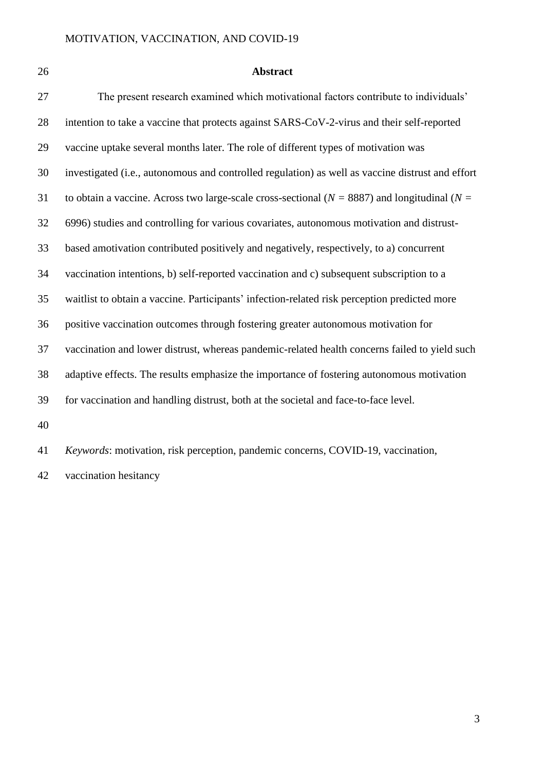# **Abstract**

| 27 | The present research examined which motivational factors contribute to individuals'                 |
|----|-----------------------------------------------------------------------------------------------------|
| 28 | intention to take a vaccine that protects against SARS-CoV-2-virus and their self-reported          |
| 29 | vaccine uptake several months later. The role of different types of motivation was                  |
| 30 | investigated (i.e., autonomous and controlled regulation) as well as vaccine distrust and effort    |
| 31 | to obtain a vaccine. Across two large-scale cross-sectional ( $N = 8887$ ) and longitudinal ( $N =$ |
| 32 | 6996) studies and controlling for various covariates, autonomous motivation and distrust-           |
| 33 | based amotivation contributed positively and negatively, respectively, to a) concurrent             |
| 34 | vaccination intentions, b) self-reported vaccination and c) subsequent subscription to a            |
| 35 | waitlist to obtain a vaccine. Participants' infection-related risk perception predicted more        |
| 36 | positive vaccination outcomes through fostering greater autonomous motivation for                   |
| 37 | vaccination and lower distrust, whereas pandemic-related health concerns failed to yield such       |
| 38 | adaptive effects. The results emphasize the importance of fostering autonomous motivation           |
| 39 | for vaccination and handling distrust, both at the societal and face-to-face level.                 |
| 40 |                                                                                                     |
| 41 | Keywords: motivation, risk perception, pandemic concerns, COVID-19, vaccination,                    |

vaccination hesitancy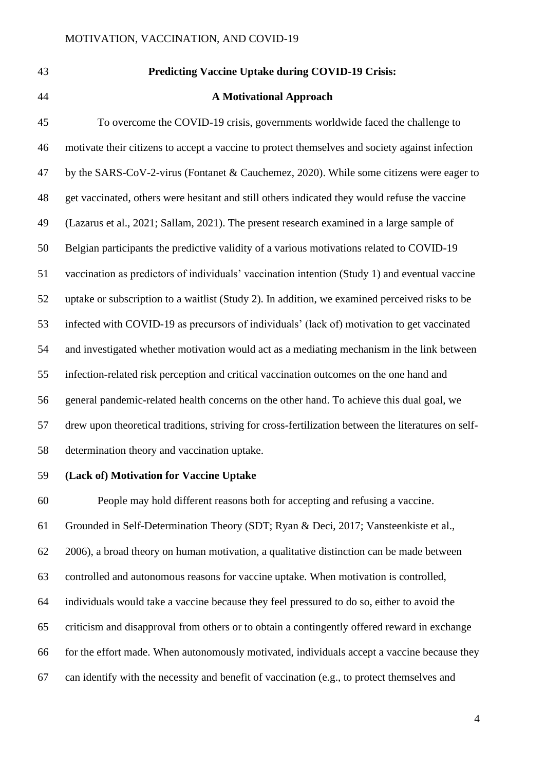| 43 | <b>Predicting Vaccine Uptake during COVID-19 Crisis:</b>                                            |
|----|-----------------------------------------------------------------------------------------------------|
| 44 | <b>A Motivational Approach</b>                                                                      |
| 45 | To overcome the COVID-19 crisis, governments worldwide faced the challenge to                       |
| 46 | motivate their citizens to accept a vaccine to protect themselves and society against infection     |
| 47 | by the SARS-CoV-2-virus (Fontanet & Cauchemez, 2020). While some citizens were eager to             |
| 48 | get vaccinated, others were hesitant and still others indicated they would refuse the vaccine       |
| 49 | (Lazarus et al., 2021; Sallam, 2021). The present research examined in a large sample of            |
| 50 | Belgian participants the predictive validity of a various motivations related to COVID-19           |
| 51 | vaccination as predictors of individuals' vaccination intention (Study 1) and eventual vaccine      |
| 52 | uptake or subscription to a waitlist (Study 2). In addition, we examined perceived risks to be      |
| 53 | infected with COVID-19 as precursors of individuals' (lack of) motivation to get vaccinated         |
| 54 | and investigated whether motivation would act as a mediating mechanism in the link between          |
| 55 | infection-related risk perception and critical vaccination outcomes on the one hand and             |
| 56 | general pandemic-related health concerns on the other hand. To achieve this dual goal, we           |
| 57 | drew upon theoretical traditions, striving for cross-fertilization between the literatures on self- |
| 58 | determination theory and vaccination uptake.                                                        |

# **(Lack of) Motivation for Vaccine Uptake**

 People may hold different reasons both for accepting and refusing a vaccine. Grounded in Self-Determination Theory (SDT; Ryan & Deci, 2017; Vansteenkiste et al., 2006), a broad theory on human motivation, a qualitative distinction can be made between controlled and autonomous reasons for vaccine uptake. When motivation is controlled, individuals would take a vaccine because they feel pressured to do so, either to avoid the criticism and disapproval from others or to obtain a contingently offered reward in exchange for the effort made. When autonomously motivated, individuals accept a vaccine because they can identify with the necessity and benefit of vaccination (e.g., to protect themselves and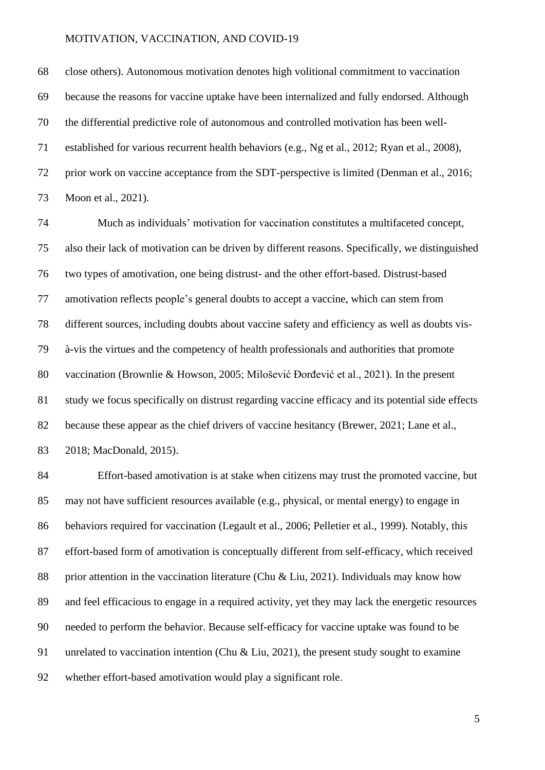close others). Autonomous motivation denotes high volitional commitment to vaccination because the reasons for vaccine uptake have been internalized and fully endorsed. Although the differential predictive role of autonomous and controlled motivation has been well- established for various recurrent health behaviors (e.g., Ng et al., 2012; Ryan et al., 2008), prior work on vaccine acceptance from the SDT-perspective is limited (Denman et al., 2016; Moon et al., 2021).

 Much as individuals' motivation for vaccination constitutes a multifaceted concept, also their lack of motivation can be driven by different reasons. Specifically, we distinguished two types of amotivation, one being distrust- and the other effort-based. Distrust-based amotivation reflects people's general doubts to accept a vaccine, which can stem from different sources, including doubts about vaccine safety and efficiency as well as doubts vis- à-vis the virtues and the competency of health professionals and authorities that promote vaccination (Brownlie & Howson, 2005; Milošević Đorđević et al., 2021). In the present study we focus specifically on distrust regarding vaccine efficacy and its potential side effects because these appear as the chief drivers of vaccine hesitancy (Brewer, 2021; Lane et al., 2018; MacDonald, 2015).

 Effort-based amotivation is at stake when citizens may trust the promoted vaccine, but may not have sufficient resources available (e.g., physical, or mental energy) to engage in behaviors required for vaccination (Legault et al., 2006; Pelletier et al., 1999). Notably, this effort-based form of amotivation is conceptually different from self-efficacy, which received 88 prior attention in the vaccination literature (Chu & Liu, 2021). Individuals may know how and feel efficacious to engage in a required activity, yet they may lack the energetic resources needed to perform the behavior. Because self-efficacy for vaccine uptake was found to be unrelated to vaccination intention (Chu & Liu, 2021), the present study sought to examine whether effort-based amotivation would play a significant role.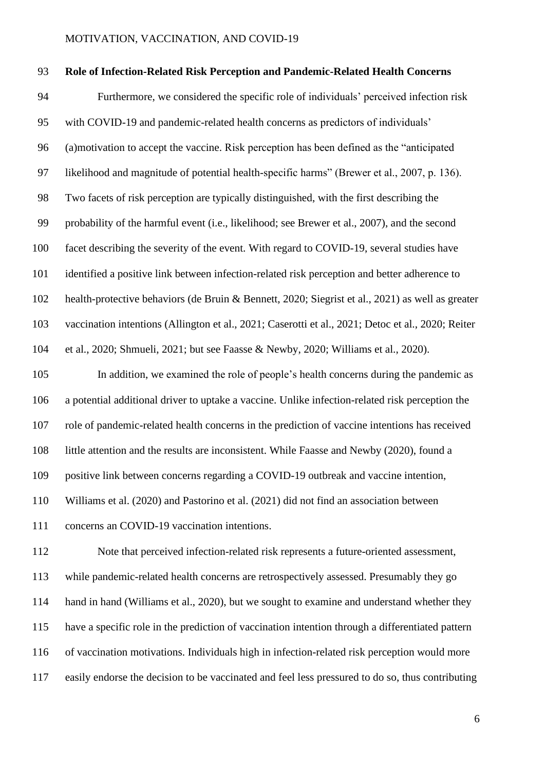#### **Role of Infection-Related Risk Perception and Pandemic-Related Health Concerns**

 Furthermore, we considered the specific role of individuals' perceived infection risk with COVID-19 and pandemic-related health concerns as predictors of individuals' (a)motivation to accept the vaccine. Risk perception has been defined as the "anticipated likelihood and magnitude of potential health-specific harms" (Brewer et al., 2007, p. 136). Two facets of risk perception are typically distinguished, with the first describing the probability of the harmful event (i.e., likelihood; see Brewer et al., 2007), and the second facet describing the severity of the event. With regard to COVID-19, several studies have identified a positive link between infection-related risk perception and better adherence to health-protective behaviors (de Bruin & Bennett, 2020; Siegrist et al., 2021) as well as greater vaccination intentions (Allington et al., 2021; Caserotti et al., 2021; Detoc et al., 2020; Reiter et al., 2020; Shmueli, 2021; but see Faasse & Newby, 2020; Williams et al., 2020).

 In addition, we examined the role of people's health concerns during the pandemic as a potential additional driver to uptake a vaccine. Unlike infection-related risk perception the role of pandemic-related health concerns in the prediction of vaccine intentions has received little attention and the results are inconsistent. While Faasse and Newby (2020), found a positive link between concerns regarding a COVID-19 outbreak and vaccine intention, Williams et al. (2020) and Pastorino et al. (2021) did not find an association between

concerns an COVID-19 vaccination intentions.

 Note that perceived infection-related risk represents a future-oriented assessment, while pandemic-related health concerns are retrospectively assessed. Presumably they go 114 hand in hand (Williams et al., 2020), but we sought to examine and understand whether they have a specific role in the prediction of vaccination intention through a differentiated pattern of vaccination motivations. Individuals high in infection-related risk perception would more easily endorse the decision to be vaccinated and feel less pressured to do so, thus contributing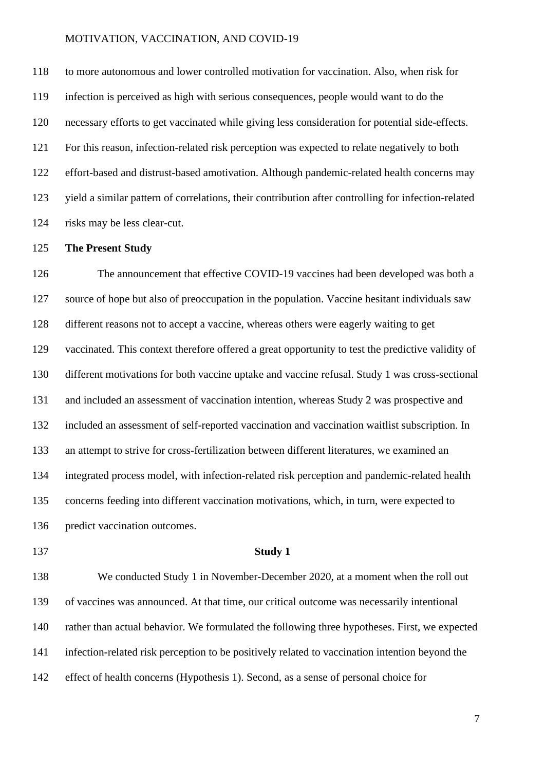to more autonomous and lower controlled motivation for vaccination. Also, when risk for infection is perceived as high with serious consequences, people would want to do the necessary efforts to get vaccinated while giving less consideration for potential side-effects. For this reason, infection-related risk perception was expected to relate negatively to both effort-based and distrust-based amotivation. Although pandemic-related health concerns may yield a similar pattern of correlations, their contribution after controlling for infection-related risks may be less clear-cut.

#### **The Present Study**

 The announcement that effective COVID-19 vaccines had been developed was both a source of hope but also of preoccupation in the population. Vaccine hesitant individuals saw different reasons not to accept a vaccine, whereas others were eagerly waiting to get vaccinated. This context therefore offered a great opportunity to test the predictive validity of different motivations for both vaccine uptake and vaccine refusal. Study 1 was cross-sectional and included an assessment of vaccination intention, whereas Study 2 was prospective and included an assessment of self-reported vaccination and vaccination waitlist subscription. In an attempt to strive for cross-fertilization between different literatures, we examined an integrated process model, with infection-related risk perception and pandemic-related health concerns feeding into different vaccination motivations, which, in turn, were expected to predict vaccination outcomes.

#### **Study 1**

 We conducted Study 1 in November-December 2020, at a moment when the roll out of vaccines was announced. At that time, our critical outcome was necessarily intentional rather than actual behavior. We formulated the following three hypotheses. First, we expected infection-related risk perception to be positively related to vaccination intention beyond the effect of health concerns (Hypothesis 1). Second, as a sense of personal choice for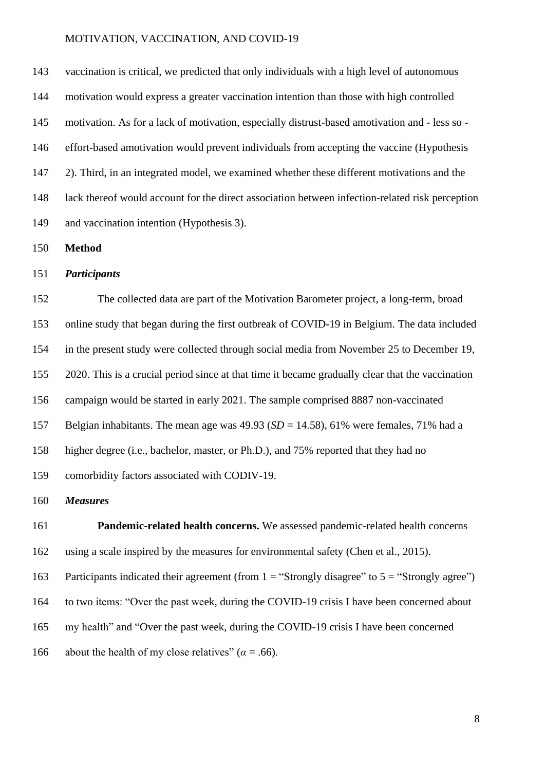vaccination is critical, we predicted that only individuals with a high level of autonomous motivation would express a greater vaccination intention than those with high controlled motivation. As for a lack of motivation, especially distrust-based amotivation and - less so - effort-based amotivation would prevent individuals from accepting the vaccine (Hypothesis 2). Third, in an integrated model, we examined whether these different motivations and the lack thereof would account for the direct association between infection-related risk perception and vaccination intention (Hypothesis 3).

**Method**

#### *Participants*

 The collected data are part of the Motivation Barometer project, a long-term, broad online study that began during the first outbreak of COVID-19 in Belgium. The data included in the present study were collected through social media from November 25 to December 19, 2020. This is a crucial period since at that time it became gradually clear that the vaccination campaign would be started in early 2021. The sample comprised 8887 non-vaccinated Belgian inhabitants. The mean age was 49.93 (*SD* = 14.58), 61% were females, 71% had a higher degree (i.e., bachelor, master, or Ph.D.), and 75% reported that they had no comorbidity factors associated with CODIV-19.

# *Measures*

 **Pandemic-related health concerns.** We assessed pandemic-related health concerns using a scale inspired by the measures for environmental safety (Chen et al., 2015). 163 Participants indicated their agreement (from  $1 =$  "Strongly disagree" to  $5 =$  "Strongly agree") to two items: "Over the past week, during the COVID-19 crisis I have been concerned about my health" and "Over the past week, during the COVID-19 crisis I have been concerned 166 about the health of my close relatives"  $(a = .66)$ .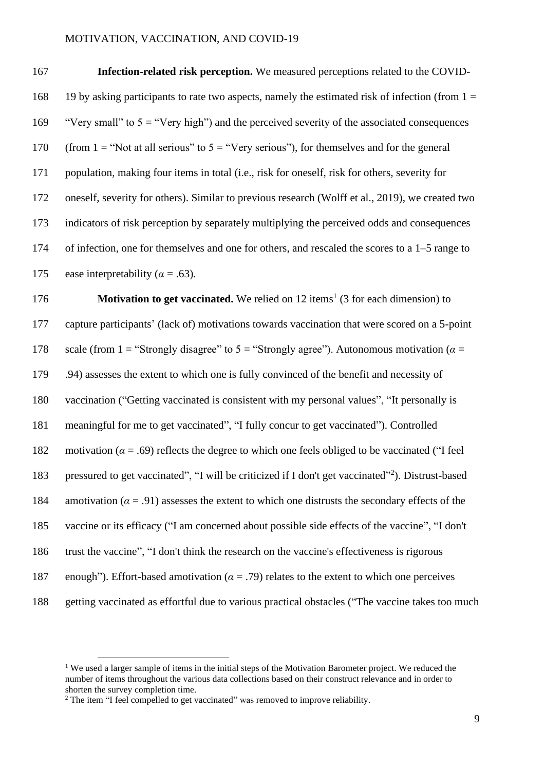| 167 | <b>Infection-related risk perception.</b> We measured perceptions related to the COVID-           |
|-----|---------------------------------------------------------------------------------------------------|
| 168 | 19 by asking participants to rate two aspects, namely the estimated risk of infection (from $1 =$ |
| 169 | "Very small" to $5 =$ "Very high") and the perceived severity of the associated consequences      |
| 170 | (from 1 = "Not at all serious" to $5 =$ "Very serious"), for themselves and for the general       |
| 171 | population, making four items in total (i.e., risk for oneself, risk for others, severity for     |
| 172 | oneself, severity for others). Similar to previous research (Wolff et al., 2019), we created two  |
| 173 | indicators of risk perception by separately multiplying the perceived odds and consequences       |
| 174 | of infection, one for themselves and one for others, and rescaled the scores to a $1-5$ range to  |
| 175 | ease interpretability ( $\alpha$ = .63).                                                          |

**Motivation to get vaccinated.** We relied on 12 items<sup>1</sup> (3 for each dimension) to capture participants' (lack of) motivations towards vaccination that were scored on a 5-point 178 scale (from 1 = "Strongly disagree" to 5 = "Strongly agree"). Autonomous motivation ( $\alpha$  = .94) assesses the extent to which one is fully convinced of the benefit and necessity of vaccination ("Getting vaccinated is consistent with my personal values", "It personally is meaningful for me to get vaccinated", "I fully concur to get vaccinated"). Controlled 182 motivation ( $\alpha = .69$ ) reflects the degree to which one feels obliged to be vaccinated ("I feel 183 pressured to get vaccinated", "I will be criticized if I don't get vaccinated"<sup>2</sup>). Distrust-based 184 amotivation  $(a = .91)$  assesses the extent to which one distrusts the secondary effects of the vaccine or its efficacy ("I am concerned about possible side effects of the vaccine", "I don't trust the vaccine", "I don't think the research on the vaccine's effectiveness is rigorous enough"). Effort-based amotivation (*α* = .79) relates to the extent to which one perceives getting vaccinated as effortful due to various practical obstacles ("The vaccine takes too much

<sup>&</sup>lt;sup>1</sup> We used a larger sample of items in the initial steps of the Motivation Barometer project. We reduced the number of items throughout the various data collections based on their construct relevance and in order to shorten the survey completion time.

<sup>&</sup>lt;sup>2</sup> The item "I feel compelled to get vaccinated" was removed to improve reliability.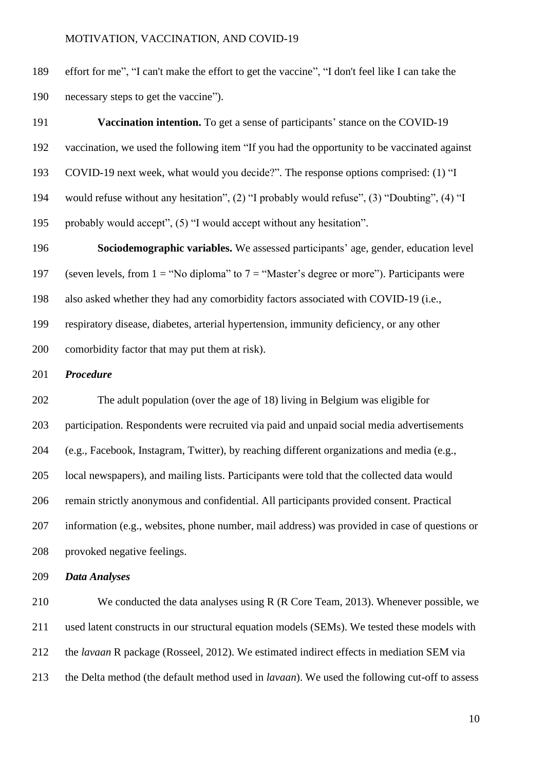effort for me", "I can't make the effort to get the vaccine", "I don't feel like I can take the necessary steps to get the vaccine").

| <b>Vaccination intention.</b> To get a sense of participants' stance on the COVID-19         |
|----------------------------------------------------------------------------------------------|
| vaccination, we used the following item "If you had the opportunity to be vaccinated against |
| COVID-19 next week, what would you decide?". The response options comprised: (1) "I          |
| would refuse without any hesitation", (2) "I probably would refuse", (3) "Doubting", (4) "I  |
| probably would accept", (5) "I would accept without any hesitation".                         |
|                                                                                              |

 **Sociodemographic variables.** We assessed participants' age, gender, education level 197 (seven levels, from  $1 = "No$  diploma" to  $7 = "Master's$  degree or more"). Participants were also asked whether they had any comorbidity factors associated with COVID-19 (i.e., respiratory disease, diabetes, arterial hypertension, immunity deficiency, or any other comorbidity factor that may put them at risk).

# *Procedure*

 The adult population (over the age of 18) living in Belgium was eligible for participation. Respondents were recruited via paid and unpaid social media advertisements (e.g., Facebook, Instagram, Twitter), by reaching different organizations and media (e.g., local newspapers), and mailing lists. Participants were told that the collected data would remain strictly anonymous and confidential. All participants provided consent. Practical information (e.g., websites, phone number, mail address) was provided in case of questions or provoked negative feelings.

# *Data Analyses*

 We conducted the data analyses using R (R Core Team, 2013). Whenever possible, we used latent constructs in our structural equation models (SEMs). We tested these models with the *lavaan* R package (Rosseel, 2012). We estimated indirect effects in mediation SEM via the Delta method (the default method used in *lavaan*). We used the following cut-off to assess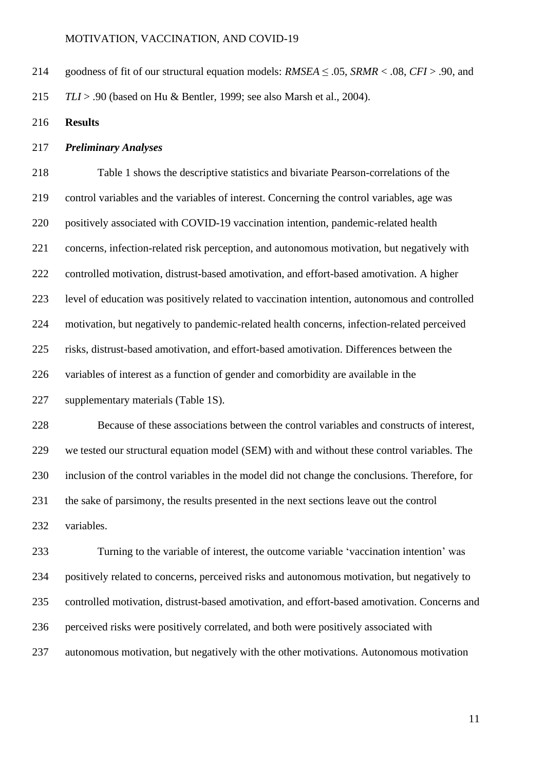- goodness of fit of our structural equation models: *RMSEA* ≤ .05, *SRMR* < .08, *CFI* > .90, and *TLI* > .90 (based on Hu & Bentler, 1999; see also Marsh et al., 2004).
- **Results**

# *Preliminary Analyses*

 Table 1 shows the descriptive statistics and bivariate Pearson-correlations of the control variables and the variables of interest. Concerning the control variables, age was positively associated with COVID-19 vaccination intention, pandemic-related health concerns, infection-related risk perception, and autonomous motivation, but negatively with controlled motivation, distrust-based amotivation, and effort-based amotivation. A higher level of education was positively related to vaccination intention, autonomous and controlled motivation, but negatively to pandemic-related health concerns, infection-related perceived risks, distrust-based amotivation, and effort-based amotivation. Differences between the variables of interest as a function of gender and comorbidity are available in the supplementary materials (Table 1S).

 Because of these associations between the control variables and constructs of interest, we tested our structural equation model (SEM) with and without these control variables. The inclusion of the control variables in the model did not change the conclusions. Therefore, for the sake of parsimony, the results presented in the next sections leave out the control variables.

 Turning to the variable of interest, the outcome variable 'vaccination intention' was positively related to concerns, perceived risks and autonomous motivation, but negatively to controlled motivation, distrust-based amotivation, and effort-based amotivation. Concerns and perceived risks were positively correlated, and both were positively associated with autonomous motivation, but negatively with the other motivations. Autonomous motivation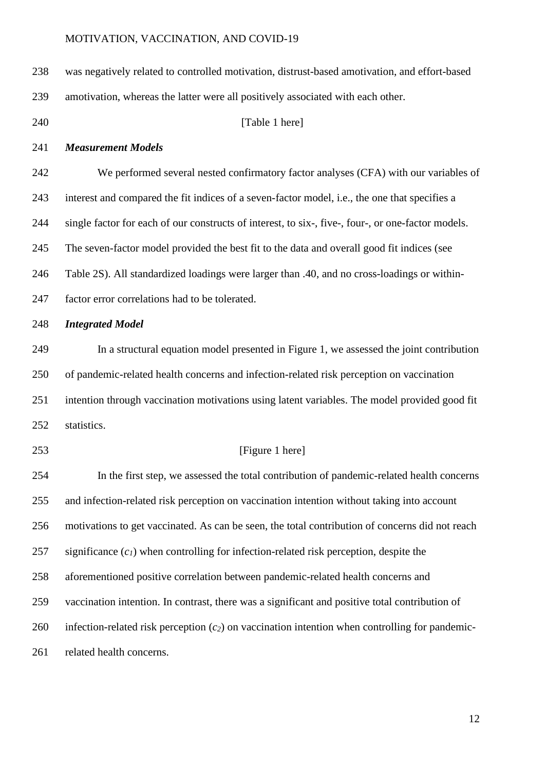| 238 | was negatively related to controlled motivation, distrust-based amotivation, and effort-based      |
|-----|----------------------------------------------------------------------------------------------------|
| 239 | amotivation, whereas the latter were all positively associated with each other.                    |
| 240 | [Table 1 here]                                                                                     |
| 241 | <b>Measurement Models</b>                                                                          |
| 242 | We performed several nested confirmatory factor analyses (CFA) with our variables of               |
| 243 | interest and compared the fit indices of a seven-factor model, i.e., the one that specifies a      |
| 244 | single factor for each of our constructs of interest, to six-, five-, four-, or one-factor models. |
| 245 | The seven-factor model provided the best fit to the data and overall good fit indices (see         |
| 246 | Table 2S). All standardized loadings were larger than .40, and no cross-loadings or within-        |
| 247 | factor error correlations had to be tolerated.                                                     |
| 248 | <b>Integrated Model</b>                                                                            |
| 249 | In a structural equation model presented in Figure 1, we assessed the joint contribution           |
| 250 | of pandemic-related health concerns and infection-related risk perception on vaccination           |
| 251 | intention through vaccination motivations using latent variables. The model provided good fit      |
| 252 | statistics.                                                                                        |
| 253 | [Figure 1 here]                                                                                    |
| 254 | In the first step, we assessed the total contribution of pandemic-related health concerns          |
| 255 | and infection-related risk perception on vaccination intention without taking into account         |
| 256 | motivations to get vaccinated. As can be seen, the total contribution of concerns did not reach    |
| 257 | significance $(cl)$ when controlling for infection-related risk perception, despite the            |
| 258 | aforementioned positive correlation between pandemic-related health concerns and                   |
| 259 | vaccination intention. In contrast, there was a significant and positive total contribution of     |
| 260 | infection-related risk perception $(c_2)$ on vaccination intention when controlling for pandemic-  |
| 261 | related health concerns.                                                                           |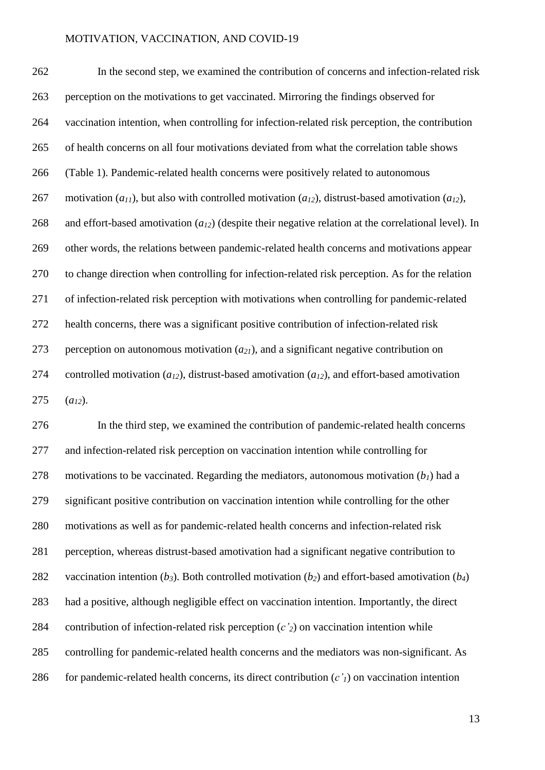In the second step, we examined the contribution of concerns and infection-related risk perception on the motivations to get vaccinated. Mirroring the findings observed for vaccination intention, when controlling for infection-related risk perception, the contribution of health concerns on all four motivations deviated from what the correlation table shows (Table 1). Pandemic-related health concerns were positively related to autonomous motivation (*a11*), but also with controlled motivation (*a12*), distrust-based amotivation (*a12*), and effort-based amotivation (*a12*) (despite their negative relation at the correlational level). In other words, the relations between pandemic-related health concerns and motivations appear to change direction when controlling for infection-related risk perception. As for the relation of infection-related risk perception with motivations when controlling for pandemic-related health concerns, there was a significant positive contribution of infection-related risk perception on autonomous motivation (*a21*), and a significant negative contribution on controlled motivation (*a12*), distrust-based amotivation (*a12*), and effort-based amotivation  $(a_{12})$ .

 In the third step, we examined the contribution of pandemic-related health concerns and infection-related risk perception on vaccination intention while controlling for 278 motivations to be vaccinated. Regarding the mediators, autonomous motivation  $(b<sub>1</sub>)$  had a significant positive contribution on vaccination intention while controlling for the other motivations as well as for pandemic-related health concerns and infection-related risk perception, whereas distrust-based amotivation had a significant negative contribution to 282 vaccination intention  $(b_3)$ . Both controlled motivation  $(b_2)$  and effort-based amotivation  $(b_4)$  had a positive, although negligible effect on vaccination intention. Importantly, the direct contribution of infection-related risk perception (*c'2*) on vaccination intention while controlling for pandemic-related health concerns and the mediators was non-significant. As 286 for pandemic-related health concerns, its direct contribution  $(c')$  on vaccination intention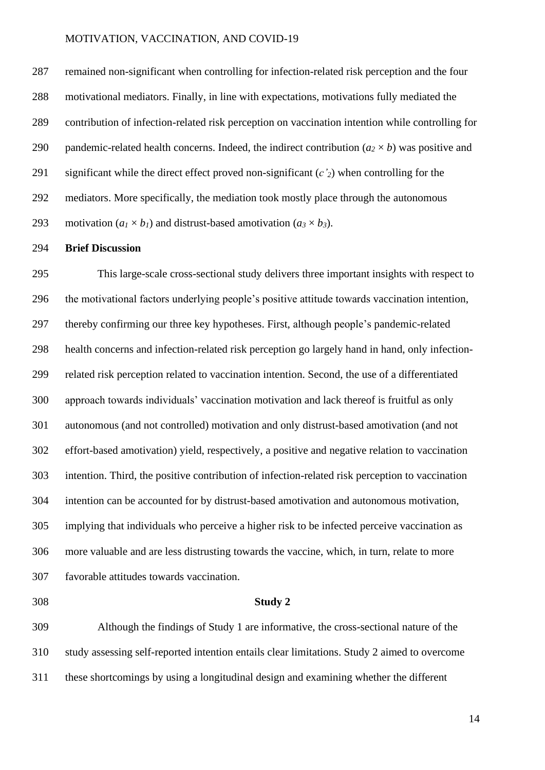remained non-significant when controlling for infection-related risk perception and the four motivational mediators. Finally, in line with expectations, motivations fully mediated the contribution of infection-related risk perception on vaccination intention while controlling for 290 pandemic-related health concerns. Indeed, the indirect contribution  $(a_2 \times b)$  was positive and significant while the direct effect proved non-significant (*c'2*) when controlling for the mediators. More specifically, the mediation took mostly place through the autonomous 293 motivation ( $a_1 \times b_1$ ) and distrust-based amotivation ( $a_3 \times b_3$ ).

#### **Brief Discussion**

 This large-scale cross-sectional study delivers three important insights with respect to the motivational factors underlying people's positive attitude towards vaccination intention, thereby confirming our three key hypotheses. First, although people's pandemic-related health concerns and infection-related risk perception go largely hand in hand, only infection- related risk perception related to vaccination intention. Second, the use of a differentiated approach towards individuals' vaccination motivation and lack thereof is fruitful as only autonomous (and not controlled) motivation and only distrust-based amotivation (and not effort-based amotivation) yield, respectively, a positive and negative relation to vaccination intention. Third, the positive contribution of infection-related risk perception to vaccination intention can be accounted for by distrust-based amotivation and autonomous motivation, implying that individuals who perceive a higher risk to be infected perceive vaccination as more valuable and are less distrusting towards the vaccine, which, in turn, relate to more favorable attitudes towards vaccination.

#### **Study 2**

 Although the findings of Study 1 are informative, the cross-sectional nature of the study assessing self-reported intention entails clear limitations. Study 2 aimed to overcome these shortcomings by using a longitudinal design and examining whether the different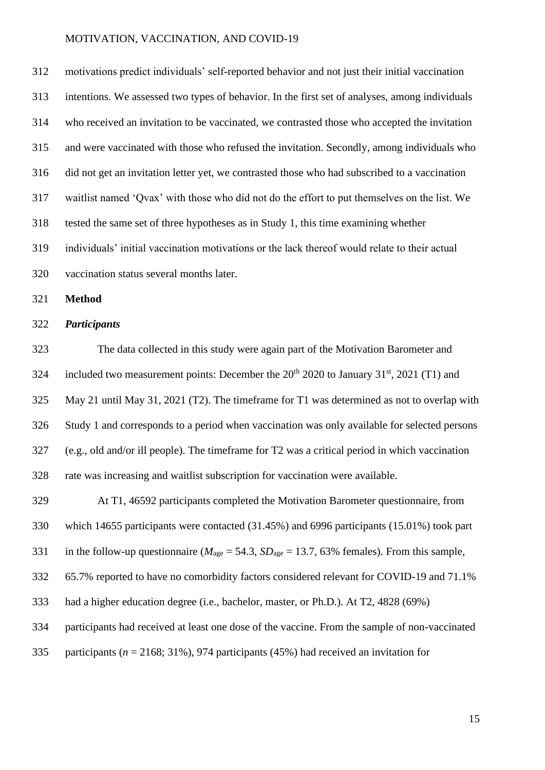motivations predict individuals' self-reported behavior and not just their initial vaccination intentions. We assessed two types of behavior. In the first set of analyses, among individuals who received an invitation to be vaccinated, we contrasted those who accepted the invitation and were vaccinated with those who refused the invitation. Secondly, among individuals who did not get an invitation letter yet, we contrasted those who had subscribed to a vaccination waitlist named 'Qvax' with those who did not do the effort to put themselves on the list. We tested the same set of three hypotheses as in Study 1, this time examining whether individuals' initial vaccination motivations or the lack thereof would relate to their actual vaccination status several months later.

**Method**

#### *Participants*

 The data collected in this study were again part of the Motivation Barometer and 324 included two measurement points: December the  $20^{th}$   $2020$  to January 31<sup>st</sup>, 2021 (T1) and May 21 until May 31, 2021 (T2). The timeframe for T1 was determined as not to overlap with Study 1 and corresponds to a period when vaccination was only available for selected persons (e.g., old and/or ill people). The timeframe for T2 was a critical period in which vaccination rate was increasing and waitlist subscription for vaccination were available.

 At T1, 46592 participants completed the Motivation Barometer questionnaire, from which 14655 participants were contacted (31.45%) and 6996 participants (15.01%) took part 331 in the follow-up questionnaire ( $M_{\text{age}} = 54.3$ ,  $SD_{\text{age}} = 13.7$ , 63% females). From this sample, 65.7% reported to have no comorbidity factors considered relevant for COVID-19 and 71.1% had a higher education degree (i.e., bachelor, master, or Ph.D.). At T2, 4828 (69%) participants had received at least one dose of the vaccine. From the sample of non-vaccinated participants (*n* = 2168; 31%), 974 participants (45%) had received an invitation for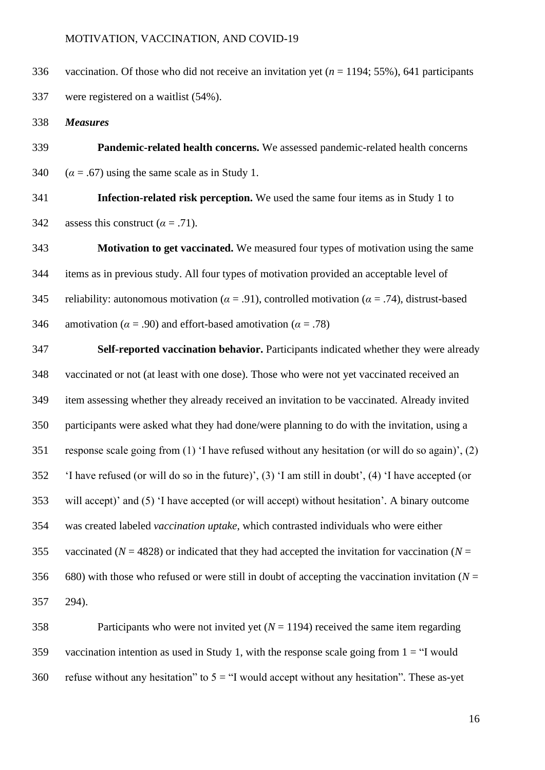vaccination. Of those who did not receive an invitation yet (*n* = 1194; 55%), 641 participants were registered on a waitlist (54%).

*Measures*

 **Pandemic-related health concerns.** We assessed pandemic-related health concerns 340  $(\alpha = .67)$  using the same scale as in Study 1.

 **Infection-related risk perception.** We used the same four items as in Study 1 to 342 assess this construct  $(\alpha = .71)$ .

 **Motivation to get vaccinated.** We measured four types of motivation using the same items as in previous study. All four types of motivation provided an acceptable level of 345 reliability: autonomous motivation ( $\alpha = .91$ ), controlled motivation ( $\alpha = .74$ ), distrust-based 346 amotivation ( $\alpha$  = .90) and effort-based amotivation ( $\alpha$  = .78)

 **Self-reported vaccination behavior.** Participants indicated whether they were already vaccinated or not (at least with one dose). Those who were not yet vaccinated received an item assessing whether they already received an invitation to be vaccinated. Already invited participants were asked what they had done/were planning to do with the invitation, using a response scale going from (1) 'I have refused without any hesitation (or will do so again)', (2) 'I have refused (or will do so in the future)', (3) 'I am still in doubt', (4) 'I have accepted (or will accept)' and (5) 'I have accepted (or will accept) without hesitation'*.* A binary outcome was created labeled *vaccination uptake*, which contrasted individuals who were either 355 vaccinated ( $N = 4828$ ) or indicated that they had accepted the invitation for vaccination ( $N =$ 356 680) with those who refused or were still in doubt of accepting the vaccination invitation  $(N =$ 294).

 Participants who were not invited yet (*N* = 1194) received the same item regarding vaccination intention as used in Study 1, with the response scale going from 1 = "I would refuse without any hesitation" to 5 = "I would accept without any hesitation"*.* These as-yet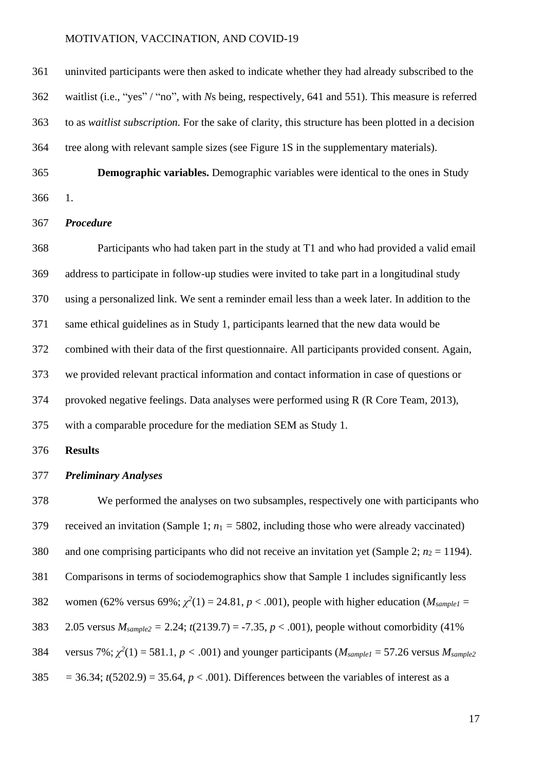uninvited participants were then asked to indicate whether they had already subscribed to the waitlist (i.e., "yes" / "no", with *N*s being, respectively, 641 and 551). This measure is referred to as *waitlist subscription.* For the sake of clarity, this structure has been plotted in a decision tree along with relevant sample sizes (see Figure 1S in the supplementary materials).

 **Demographic variables.** Demographic variables were identical to the ones in Study 1.

#### *Procedure*

 Participants who had taken part in the study at T1 and who had provided a valid email address to participate in follow-up studies were invited to take part in a longitudinal study using a personalized link. We sent a reminder email less than a week later. In addition to the same ethical guidelines as in Study 1, participants learned that the new data would be combined with their data of the first questionnaire. All participants provided consent. Again, we provided relevant practical information and contact information in case of questions or provoked negative feelings. Data analyses were performed using R (R Core Team, 2013), with a comparable procedure for the mediation SEM as Study 1.

**Results** 

#### *Preliminary Analyses*

 We performed the analyses on two subsamples, respectively one with participants who 379 received an invitation (Sample 1;  $n_1 = 5802$ , including those who were already vaccinated) 380 and one comprising participants who did not receive an invitation yet (Sample 2;  $n_2 = 1194$ ). Comparisons in terms of sociodemographics show that Sample 1 includes significantly less 382 women (62% versus 69%;  $\chi^2(1) = 24.81$ ,  $p < .001$ ), people with higher education (*M*<sub>sample1</sub> = 383 2.05 versus  $M_{sample2} = 2.24$ ;  $t(2139.7) = -7.35$ ,  $p < .001$ ), people without comorbidity (41%) 384 versus 7%;  $\chi^2(1) = 581.1$ ,  $p < .001$ ) and younger participants ( $M_{sample1} = 57.26$  versus  $M_{sample2}$  $385 = 36.34$ ;  $t(5202.9) = 35.64$ ,  $p < .001$ ). Differences between the variables of interest as a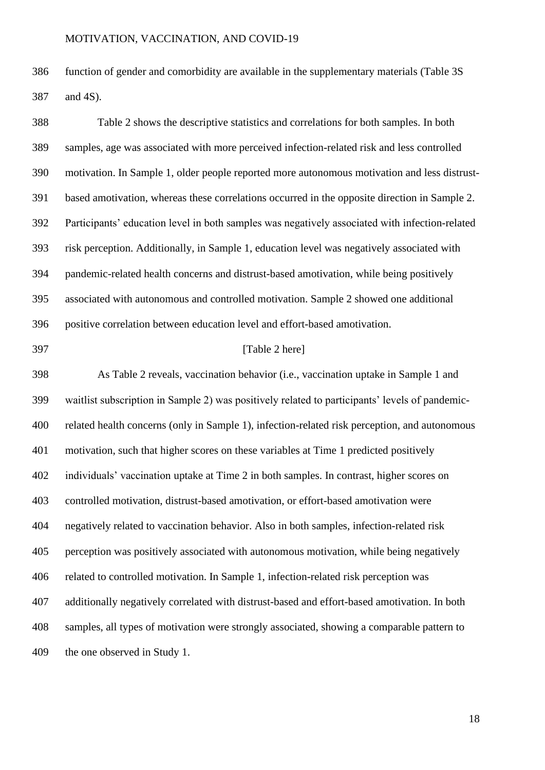function of gender and comorbidity are available in the supplementary materials (Table 3S and 4S).

 Table 2 shows the descriptive statistics and correlations for both samples. In both samples, age was associated with more perceived infection-related risk and less controlled motivation. In Sample 1, older people reported more autonomous motivation and less distrust- based amotivation, whereas these correlations occurred in the opposite direction in Sample 2. Participants' education level in both samples was negatively associated with infection-related risk perception. Additionally, in Sample 1, education level was negatively associated with pandemic-related health concerns and distrust-based amotivation, while being positively associated with autonomous and controlled motivation. Sample 2 showed one additional positive correlation between education level and effort-based amotivation.

# **[Table 2 here]**

 As Table 2 reveals, vaccination behavior (i.e., vaccination uptake in Sample 1 and waitlist subscription in Sample 2) was positively related to participants' levels of pandemic- related health concerns (only in Sample 1), infection-related risk perception, and autonomous motivation, such that higher scores on these variables at Time 1 predicted positively individuals' vaccination uptake at Time 2 in both samples. In contrast, higher scores on controlled motivation, distrust-based amotivation, or effort-based amotivation were negatively related to vaccination behavior. Also in both samples, infection-related risk perception was positively associated with autonomous motivation, while being negatively related to controlled motivation. In Sample 1, infection-related risk perception was additionally negatively correlated with distrust-based and effort-based amotivation. In both samples, all types of motivation were strongly associated, showing a comparable pattern to the one observed in Study 1.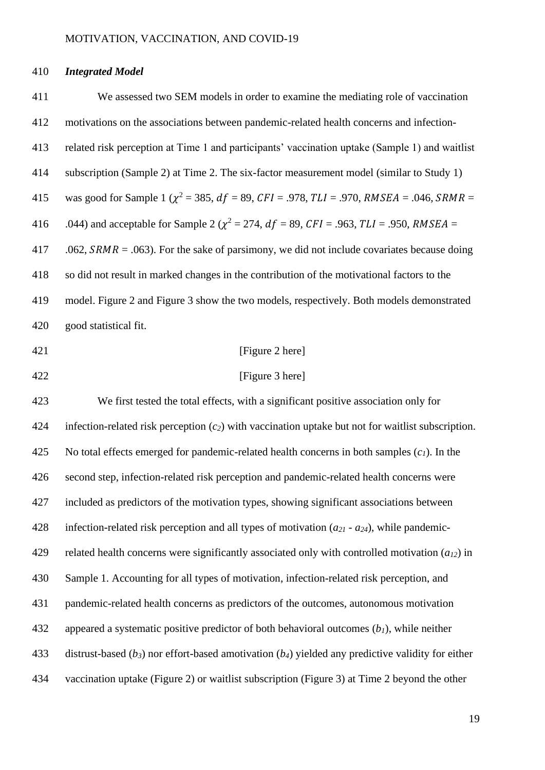# *Integrated Model*

| 411 | We assessed two SEM models in order to examine the mediating role of vaccination                           |
|-----|------------------------------------------------------------------------------------------------------------|
| 412 | motivations on the associations between pandemic-related health concerns and infection-                    |
| 413 | related risk perception at Time 1 and participants' vaccination uptake (Sample 1) and waitlist             |
| 414 | subscription (Sample 2) at Time 2. The six-factor measurement model (similar to Study 1)                   |
| 415 | was good for Sample 1 ( $\chi^2$ = 385, $df$ = 89, CFI = .978, TLI = .970, RMSEA = .046, SRMR =            |
| 416 | .044) and acceptable for Sample 2 ( $\chi^2$ = 274, $df$ = 89, CFI = .963, TLI = .950, RMSEA =             |
| 417 | .062, $SRMR = .063$ ). For the sake of parsimony, we did not include covariates because doing              |
| 418 | so did not result in marked changes in the contribution of the motivational factors to the                 |
| 419 | model. Figure 2 and Figure 3 show the two models, respectively. Both models demonstrated                   |
| 420 | good statistical fit.                                                                                      |
| 421 | [Figure 2 here]                                                                                            |
| 422 | [Figure 3 here]                                                                                            |
| 423 | We first tested the total effects, with a significant positive association only for                        |
| 424 | infection-related risk perception $(c_2)$ with vaccination uptake but not for waitlist subscription.       |
| 425 | No total effects emerged for pandemic-related health concerns in both samples $(c_1)$ . In the             |
| 426 | second step, infection-related risk perception and pandemic-related health concerns were                   |
| 427 | included as predictors of the motivation types, showing significant associations between                   |
| 428 | infection-related risk perception and all types of motivation $(a_{21} - a_{24})$ , while pandemic-        |
| 429 | related health concerns were significantly associated only with controlled motivation $(a_{12})$ in        |
| 430 | Sample 1. Accounting for all types of motivation, infection-related risk perception, and                   |
| 431 | pandemic-related health concerns as predictors of the outcomes, autonomous motivation                      |
| 432 | appeared a systematic positive predictor of both behavioral outcomes $(b1)$ , while neither                |
| 433 | distrust-based ( $b_3$ ) nor effort-based amotivation ( $b_4$ ) yielded any predictive validity for either |
| 434 | vaccination uptake (Figure 2) or waitlist subscription (Figure 3) at Time 2 beyond the other               |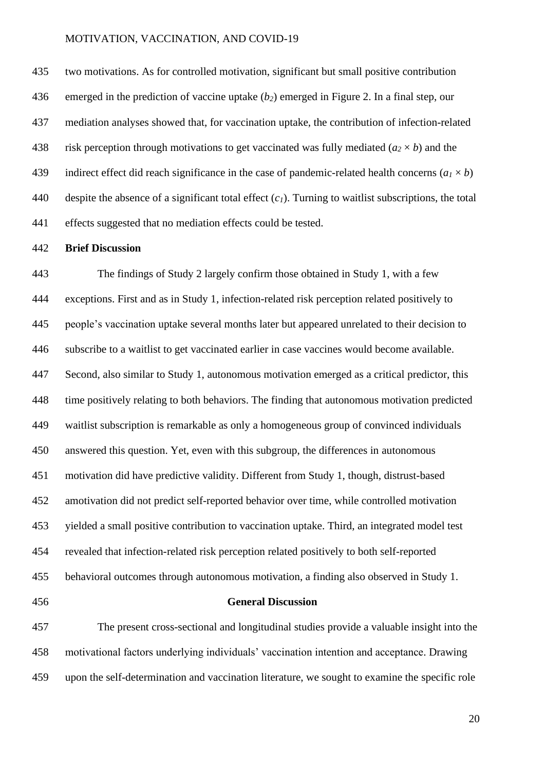two motivations. As for controlled motivation, significant but small positive contribution emerged in the prediction of vaccine uptake (*b2*) emerged in Figure 2. In a final step, our mediation analyses showed that, for vaccination uptake, the contribution of infection-related 438 risk perception through motivations to get vaccinated was fully mediated  $(a_2 \times b)$  and the 439 indirect effect did reach significance in the case of pandemic-related health concerns  $(a_1 \times b)$  despite the absence of a significant total effect (*c1*). Turning to waitlist subscriptions, the total effects suggested that no mediation effects could be tested.

#### **Brief Discussion**

 The findings of Study 2 largely confirm those obtained in Study 1, with a few exceptions. First and as in Study 1, infection-related risk perception related positively to people's vaccination uptake several months later but appeared unrelated to their decision to subscribe to a waitlist to get vaccinated earlier in case vaccines would become available. Second, also similar to Study 1, autonomous motivation emerged as a critical predictor, this time positively relating to both behaviors. The finding that autonomous motivation predicted waitlist subscription is remarkable as only a homogeneous group of convinced individuals answered this question. Yet, even with this subgroup, the differences in autonomous motivation did have predictive validity. Different from Study 1, though, distrust-based amotivation did not predict self-reported behavior over time, while controlled motivation yielded a small positive contribution to vaccination uptake. Third, an integrated model test revealed that infection-related risk perception related positively to both self-reported behavioral outcomes through autonomous motivation, a finding also observed in Study 1.

#### **General Discussion**

 The present cross-sectional and longitudinal studies provide a valuable insight into the motivational factors underlying individuals' vaccination intention and acceptance. Drawing upon the self-determination and vaccination literature, we sought to examine the specific role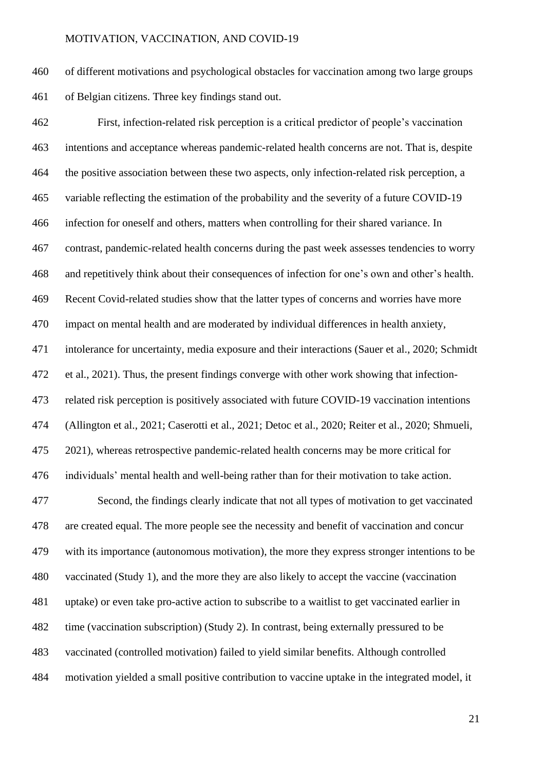of different motivations and psychological obstacles for vaccination among two large groups of Belgian citizens. Three key findings stand out.

 First, infection-related risk perception is a critical predictor of people's vaccination intentions and acceptance whereas pandemic-related health concerns are not. That is, despite the positive association between these two aspects, only infection-related risk perception, a variable reflecting the estimation of the probability and the severity of a future COVID-19 infection for oneself and others, matters when controlling for their shared variance. In contrast, pandemic-related health concerns during the past week assesses tendencies to worry and repetitively think about their consequences of infection for one's own and other's health. Recent Covid-related studies show that the latter types of concerns and worries have more impact on mental health and are moderated by individual differences in health anxiety, intolerance for uncertainty, media exposure and their interactions (Sauer et al., 2020; Schmidt et al., 2021). Thus, the present findings converge with other work showing that infection- related risk perception is positively associated with future COVID-19 vaccination intentions (Allington et al., 2021; Caserotti et al., 2021; Detoc et al., 2020; Reiter et al., 2020; Shmueli, 2021), whereas retrospective pandemic-related health concerns may be more critical for individuals' mental health and well-being rather than for their motivation to take action. Second, the findings clearly indicate that not all types of motivation to get vaccinated are created equal. The more people see the necessity and benefit of vaccination and concur with its importance (autonomous motivation), the more they express stronger intentions to be vaccinated (Study 1), and the more they are also likely to accept the vaccine (vaccination uptake) or even take pro-active action to subscribe to a waitlist to get vaccinated earlier in time (vaccination subscription) (Study 2). In contrast, being externally pressured to be vaccinated (controlled motivation) failed to yield similar benefits. Although controlled motivation yielded a small positive contribution to vaccine uptake in the integrated model, it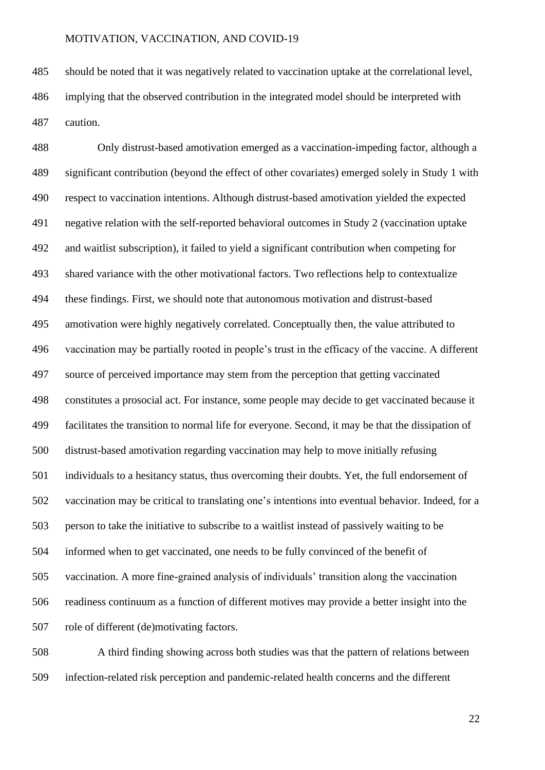should be noted that it was negatively related to vaccination uptake at the correlational level, implying that the observed contribution in the integrated model should be interpreted with caution.

 Only distrust-based amotivation emerged as a vaccination-impeding factor, although a significant contribution (beyond the effect of other covariates) emerged solely in Study 1 with respect to vaccination intentions. Although distrust-based amotivation yielded the expected negative relation with the self-reported behavioral outcomes in Study 2 (vaccination uptake and waitlist subscription), it failed to yield a significant contribution when competing for shared variance with the other motivational factors. Two reflections help to contextualize these findings. First, we should note that autonomous motivation and distrust-based amotivation were highly negatively correlated. Conceptually then, the value attributed to vaccination may be partially rooted in people's trust in the efficacy of the vaccine. A different source of perceived importance may stem from the perception that getting vaccinated constitutes a prosocial act. For instance, some people may decide to get vaccinated because it facilitates the transition to normal life for everyone. Second, it may be that the dissipation of distrust-based amotivation regarding vaccination may help to move initially refusing individuals to a hesitancy status, thus overcoming their doubts. Yet, the full endorsement of vaccination may be critical to translating one's intentions into eventual behavior. Indeed, for a person to take the initiative to subscribe to a waitlist instead of passively waiting to be informed when to get vaccinated, one needs to be fully convinced of the benefit of vaccination. A more fine-grained analysis of individuals' transition along the vaccination readiness continuum as a function of different motives may provide a better insight into the role of different (de)motivating factors.

 A third finding showing across both studies was that the pattern of relations between infection-related risk perception and pandemic-related health concerns and the different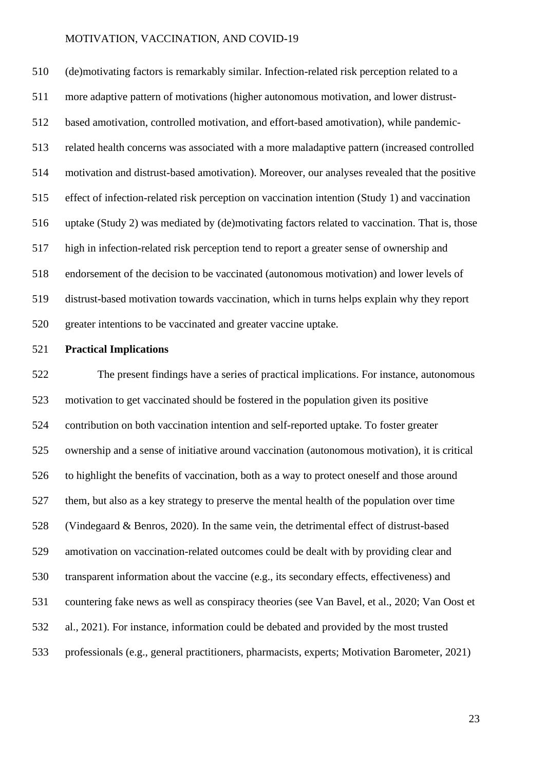(de)motivating factors is remarkably similar. Infection-related risk perception related to a more adaptive pattern of motivations (higher autonomous motivation, and lower distrust- based amotivation, controlled motivation, and effort-based amotivation), while pandemic- related health concerns was associated with a more maladaptive pattern (increased controlled motivation and distrust-based amotivation). Moreover, our analyses revealed that the positive effect of infection-related risk perception on vaccination intention (Study 1) and vaccination uptake (Study 2) was mediated by (de)motivating factors related to vaccination. That is, those high in infection-related risk perception tend to report a greater sense of ownership and endorsement of the decision to be vaccinated (autonomous motivation) and lower levels of distrust-based motivation towards vaccination, which in turns helps explain why they report greater intentions to be vaccinated and greater vaccine uptake.

#### **Practical Implications**

 The present findings have a series of practical implications. For instance, autonomous motivation to get vaccinated should be fostered in the population given its positive contribution on both vaccination intention and self-reported uptake. To foster greater ownership and a sense of initiative around vaccination (autonomous motivation), it is critical to highlight the benefits of vaccination, both as a way to protect oneself and those around them, but also as a key strategy to preserve the mental health of the population over time (Vindegaard & Benros, 2020). In the same vein, the detrimental effect of distrust-based amotivation on vaccination-related outcomes could be dealt with by providing clear and transparent information about the vaccine (e.g., its secondary effects, effectiveness) and countering fake news as well as conspiracy theories (see Van Bavel, et al., 2020; Van Oost et al., 2021). For instance, information could be debated and provided by the most trusted professionals (e.g., general practitioners, pharmacists, experts; Motivation Barometer, 2021)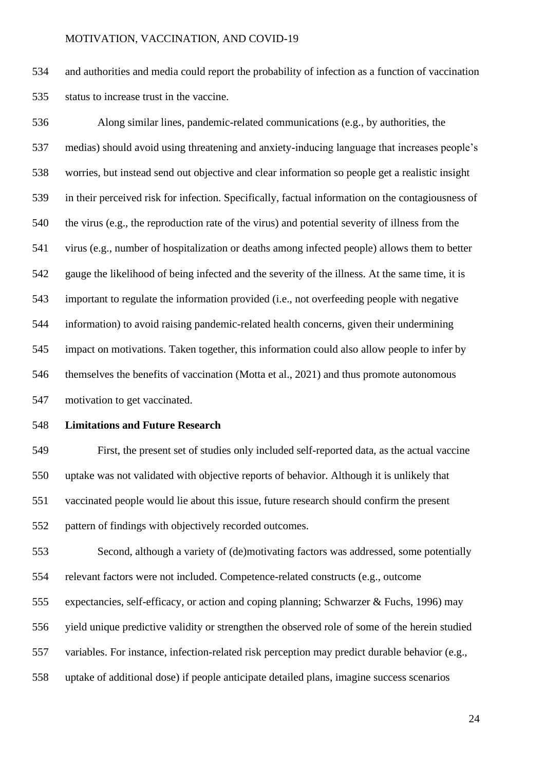and authorities and media could report the probability of infection as a function of vaccination status to increase trust in the vaccine.

 Along similar lines, pandemic-related communications (e.g., by authorities, the medias) should avoid using threatening and anxiety-inducing language that increases people's worries, but instead send out objective and clear information so people get a realistic insight in their perceived risk for infection. Specifically, factual information on the contagiousness of the virus (e.g., the reproduction rate of the virus) and potential severity of illness from the virus (e.g., number of hospitalization or deaths among infected people) allows them to better gauge the likelihood of being infected and the severity of the illness. At the same time, it is important to regulate the information provided (i.e., not overfeeding people with negative information) to avoid raising pandemic-related health concerns, given their undermining impact on motivations. Taken together, this information could also allow people to infer by themselves the benefits of vaccination (Motta et al., 2021) and thus promote autonomous motivation to get vaccinated.

# **Limitations and Future Research**

 First, the present set of studies only included self-reported data, as the actual vaccine uptake was not validated with objective reports of behavior. Although it is unlikely that vaccinated people would lie about this issue, future research should confirm the present pattern of findings with objectively recorded outcomes.

 Second, although a variety of (de)motivating factors was addressed, some potentially relevant factors were not included. Competence-related constructs (e.g., outcome

expectancies, self-efficacy, or action and coping planning; Schwarzer & Fuchs, 1996) may

yield unique predictive validity or strengthen the observed role of some of the herein studied

variables. For instance, infection-related risk perception may predict durable behavior (e.g.,

uptake of additional dose) if people anticipate detailed plans, imagine success scenarios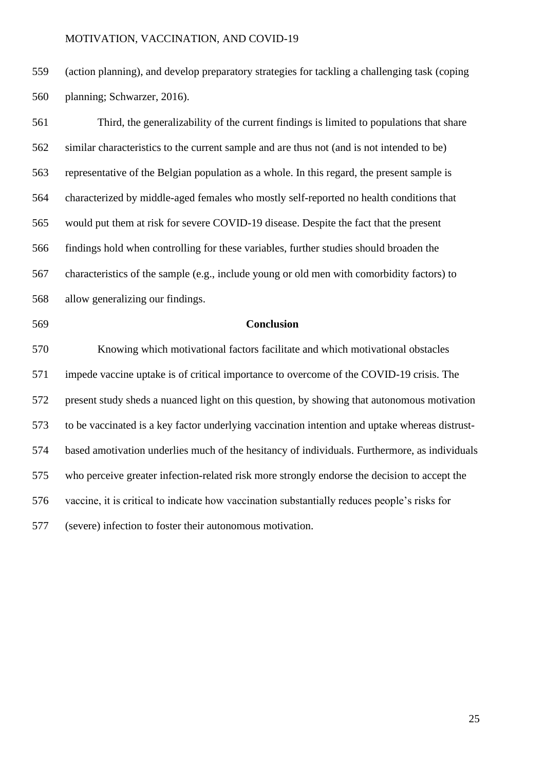(action planning), and develop preparatory strategies for tackling a challenging task (coping planning; Schwarzer, 2016).

 Third, the generalizability of the current findings is limited to populations that share similar characteristics to the current sample and are thus not (and is not intended to be) representative of the Belgian population as a whole. In this regard, the present sample is characterized by middle-aged females who mostly self-reported no health conditions that would put them at risk for severe COVID-19 disease. Despite the fact that the present findings hold when controlling for these variables, further studies should broaden the characteristics of the sample (e.g., include young or old men with comorbidity factors) to allow generalizing our findings.

### **Conclusion**

 Knowing which motivational factors facilitate and which motivational obstacles impede vaccine uptake is of critical importance to overcome of the COVID-19 crisis. The present study sheds a nuanced light on this question, by showing that autonomous motivation to be vaccinated is a key factor underlying vaccination intention and uptake whereas distrust- based amotivation underlies much of the hesitancy of individuals. Furthermore, as individuals who perceive greater infection-related risk more strongly endorse the decision to accept the vaccine, it is critical to indicate how vaccination substantially reduces people's risks for (severe) infection to foster their autonomous motivation.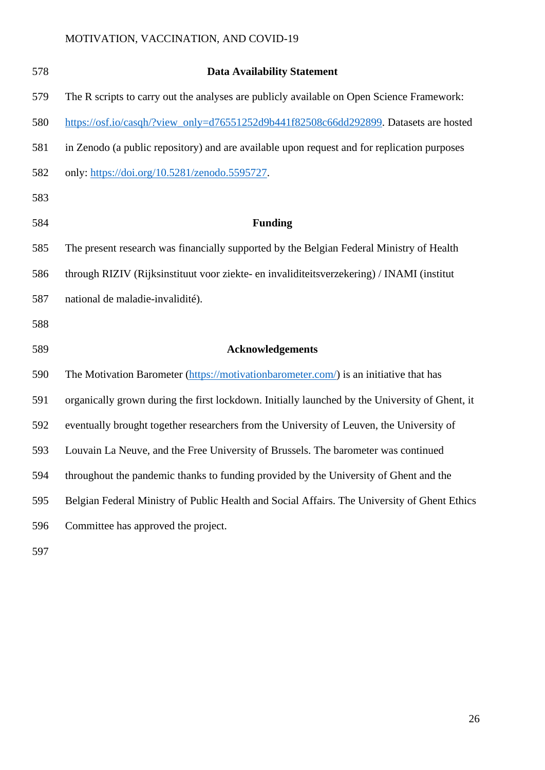| 578 | <b>Data Availability Statement</b>                                                             |
|-----|------------------------------------------------------------------------------------------------|
| 579 | The R scripts to carry out the analyses are publicly available on Open Science Framework:      |
| 580 | https://osf.io/casqh/?view_only=d76551252d9b441f82508c66dd292899. Datasets are hosted          |
| 581 | in Zenodo (a public repository) and are available upon request and for replication purposes    |
| 582 | only: https://doi.org/10.5281/zenodo.5595727.                                                  |
| 583 |                                                                                                |
| 584 | <b>Funding</b>                                                                                 |
| 585 | The present research was financially supported by the Belgian Federal Ministry of Health       |
| 586 | through RIZIV (Rijksinstituut voor ziekte- en invaliditeitsverzekering) / INAMI (institut      |
| 587 | national de maladie-invalidité).                                                               |
| 588 |                                                                                                |
| 589 | <b>Acknowledgements</b>                                                                        |
| 590 | The Motivation Barometer (https://motivationbarometer.com/) is an initiative that has          |
| 591 | organically grown during the first lockdown. Initially launched by the University of Ghent, it |
| 592 | eventually brought together researchers from the University of Leuven, the University of       |
| 593 | Louvain La Neuve, and the Free University of Brussels. The barometer was continued             |
| 594 | throughout the pandemic thanks to funding provided by the University of Ghent and the          |
| 595 | Belgian Federal Ministry of Public Health and Social Affairs. The University of Ghent Ethics   |
| 596 | Committee has approved the project.                                                            |
|     |                                                                                                |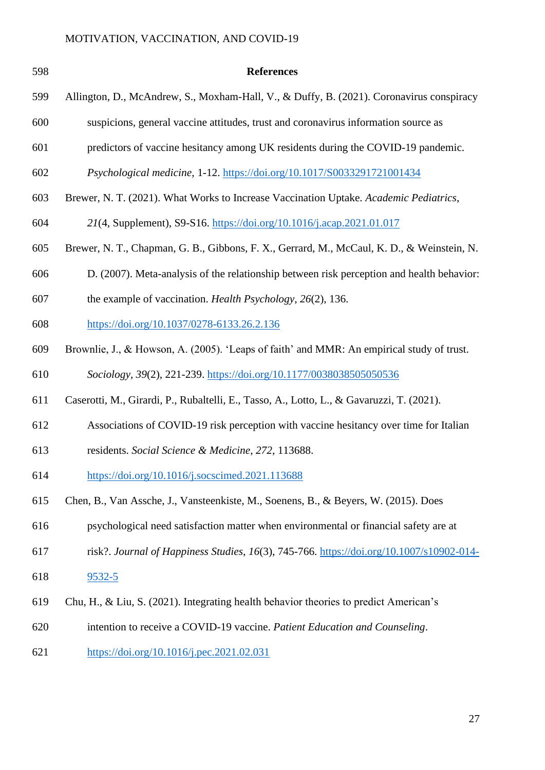| 598 | <b>References</b>                                                                          |
|-----|--------------------------------------------------------------------------------------------|
| 599 | Allington, D., McAndrew, S., Moxham-Hall, V., & Duffy, B. (2021). Coronavirus conspiracy   |
| 600 | suspicions, general vaccine attitudes, trust and coronavirus information source as         |
| 601 | predictors of vaccine hesitancy among UK residents during the COVID-19 pandemic.           |
| 602 | Psychological medicine, 1-12. https://doi.org/10.1017/S0033291721001434                    |
| 603 | Brewer, N. T. (2021). What Works to Increase Vaccination Uptake. Academic Pediatrics,      |
| 604 | 21(4, Supplement), S9-S16. https://doi.org/10.1016/j.acap.2021.01.017                      |
| 605 | Brewer, N. T., Chapman, G. B., Gibbons, F. X., Gerrard, M., McCaul, K. D., & Weinstein, N. |
| 606 | D. (2007). Meta-analysis of the relationship between risk perception and health behavior:  |
| 607 | the example of vaccination. <i>Health Psychology</i> , 26(2), 136.                         |
| 608 | https://doi.org/10.1037/0278-6133.26.2.136                                                 |
| 609 | Brownlie, J., & Howson, A. (2005). 'Leaps of faith' and MMR: An empirical study of trust.  |
| 610 | Sociology, 39(2), 221-239. https://doi.org/10.1177/0038038505050536                        |
| 611 | Caserotti, M., Girardi, P., Rubaltelli, E., Tasso, A., Lotto, L., & Gavaruzzi, T. (2021).  |
| 612 | Associations of COVID-19 risk perception with vaccine hesitancy over time for Italian      |
| 613 | residents. Social Science & Medicine, 272, 113688.                                         |
| 614 | https://doi.org/10.1016/j.socscimed.2021.113688                                            |
| 615 | Chen, B., Van Assche, J., Vansteenkiste, M., Soenens, B., & Beyers, W. (2015). Does        |
| 616 | psychological need satisfaction matter when environmental or financial safety are at       |
| 617 | risk?. Journal of Happiness Studies, 16(3), 745-766. https://doi.org/10.1007/s10902-014-   |
| 618 | $9532 - 5$                                                                                 |
| 619 | Chu, H., & Liu, S. (2021). Integrating health behavior theories to predict American's      |
| 620 | intention to receive a COVID-19 vaccine. Patient Education and Counseling.                 |

<https://doi.org/10.1016/j.pec.2021.02.031>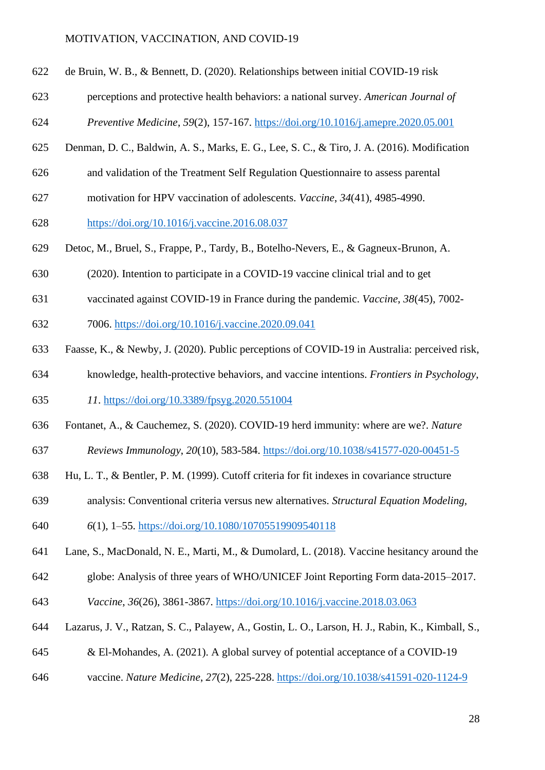- de Bruin, W. B., & Bennett, D. (2020). Relationships between initial COVID-19 risk
- perceptions and protective health behaviors: a national survey. *American Journal of*

*Preventive Medicine*, *59*(2), 157-167. <https://doi.org/10.1016/j.amepre.2020.05.001>

- Denman, D. C., Baldwin, A. S., Marks, E. G., Lee, S. C., & Tiro, J. A. (2016). Modification
- and validation of the Treatment Self Regulation Questionnaire to assess parental
- motivation for HPV vaccination of adolescents. *Vaccine*, *34*(41), 4985-4990.

<https://doi.org/10.1016/j.vaccine.2016.08.037>

- Detoc, M., Bruel, S., Frappe, P., Tardy, B., Botelho-Nevers, E., & Gagneux-Brunon, A.
- (2020). Intention to participate in a COVID-19 vaccine clinical trial and to get
- vaccinated against COVID-19 in France during the pandemic. *Vaccine*, *38*(45), 7002-
- 7006. <https://doi.org/10.1016/j.vaccine.2020.09.041>
- Faasse, K., & Newby, J. (2020). Public perceptions of COVID-19 in Australia: perceived risk,
- knowledge, health-protective behaviors, and vaccine intentions. *Frontiers in Psychology*,

*11*. <https://doi.org/10.3389/fpsyg.2020.551004>

- Fontanet, A., & Cauchemez, S. (2020). COVID-19 herd immunity: where are we?. *Nature*
- *Reviews Immunology*, *20*(10), 583-584. <https://doi.org/10.1038/s41577-020-00451-5>
- Hu, L. T., & Bentler, P. M. (1999). Cutoff criteria for fit indexes in covariance structure
- analysis: Conventional criteria versus new alternatives. *Structural Equation Modeling,*
- *6*(1), 1–55.<https://doi.org/10.1080/10705519909540118>
- Lane, S., MacDonald, N. E., Marti, M., & Dumolard, L. (2018). Vaccine hesitancy around the
- globe: Analysis of three years of WHO/UNICEF Joint Reporting Form data-2015–2017.
- *Vaccine*, *36*(26), 3861-3867. <https://doi.org/10.1016/j.vaccine.2018.03.063>
- Lazarus, J. V., Ratzan, S. C., Palayew, A., Gostin, L. O., Larson, H. J., Rabin, K., Kimball, S.,
- & El-Mohandes, A. (2021). A global survey of potential acceptance of a COVID-19
- vaccine. *Nature Medicine*, *27*(2), 225-228. <https://doi.org/10.1038/s41591-020-1124-9>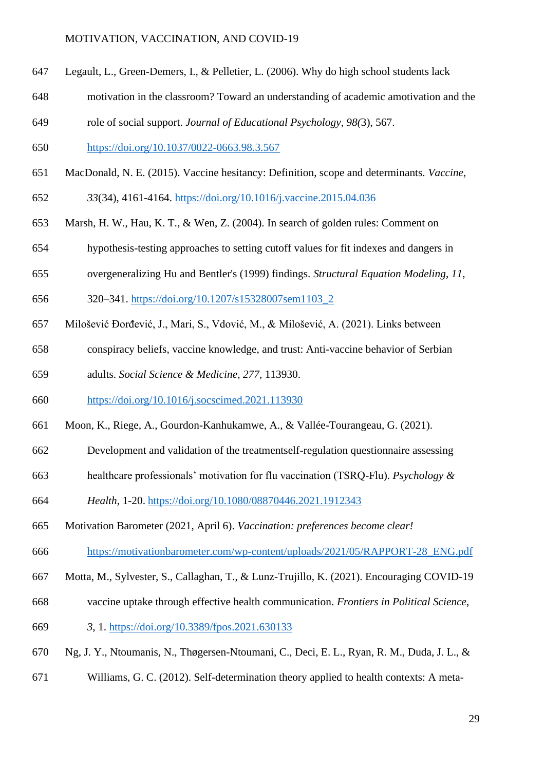- Legault, L., Green-Demers, I., & Pelletier, L. (2006). Why do high school students lack
- motivation in the classroom? Toward an understanding of academic amotivation and the
- role of social support. *Journal of Educational Psychology, 98(*3), 567.

[https://doi.org/10.1037/0022-0663.98.3.567](https://psycnet.apa.org/doi/10.1037/0022-0663.98.3.567)

MacDonald, N. E. (2015). Vaccine hesitancy: Definition, scope and determinants. *Vaccine*,

*33*(34), 4161-4164.<https://doi.org/10.1016/j.vaccine.2015.04.036>

- Marsh, H. W., Hau, K. T., & Wen, Z. (2004). In search of golden rules: Comment on
- hypothesis-testing approaches to setting cutoff values for fit indexes and dangers in
- overgeneralizing Hu and Bentler's (1999) findings. *Structural Equation Modeling*, *11*,
- 320–341. [https://doi.org/10.1207/s15328007sem1103\\_2](https://psycnet.apa.org/doi/10.1207/s15328007sem1103_2)
- Milošević Đorđević, J., Mari, S., Vdović, M., & Milošević, A. (2021). Links between
- conspiracy beliefs, vaccine knowledge, and trust: Anti-vaccine behavior of Serbian
- adults. *Social Science & Medicine*, *277*, 113930.
- <https://doi.org/10.1016/j.socscimed.2021.113930>
- Moon, K., Riege, A., Gourdon-Kanhukamwe, A., & Vallée-Tourangeau, G. (2021).
- Development and validation of the treatmentself-regulation questionnaire assessing
- healthcare professionals' motivation for flu vaccination (TSRQ-Flu). *Psychology &*
- *Health*, 1-20. <https://doi.org/10.1080/08870446.2021.1912343>
- Motivation Barometer (2021, April 6). *Vaccination: preferences become clear!*
- [https://motivationbarometer.com/wp-content/uploads/2021/05/RAPPORT-28\\_ENG.pdf](https://motivationbarometer.com/wp-content/uploads/2021/05/RAPPORT-28_ENG.pdf)
- Motta, M., Sylvester, S., Callaghan, T., & Lunz-Trujillo, K. (2021). Encouraging COVID-19
- vaccine uptake through effective health communication. *Frontiers in Political Science*,
- *3*, 1. <https://doi.org/10.3389/fpos.2021.630133>
- Ng, J. Y., Ntoumanis, N., Thøgersen-Ntoumani, C., Deci, E. L., Ryan, R. M., Duda, J. L., &
- Williams, G. C. (2012). Self-determination theory applied to health contexts: A meta-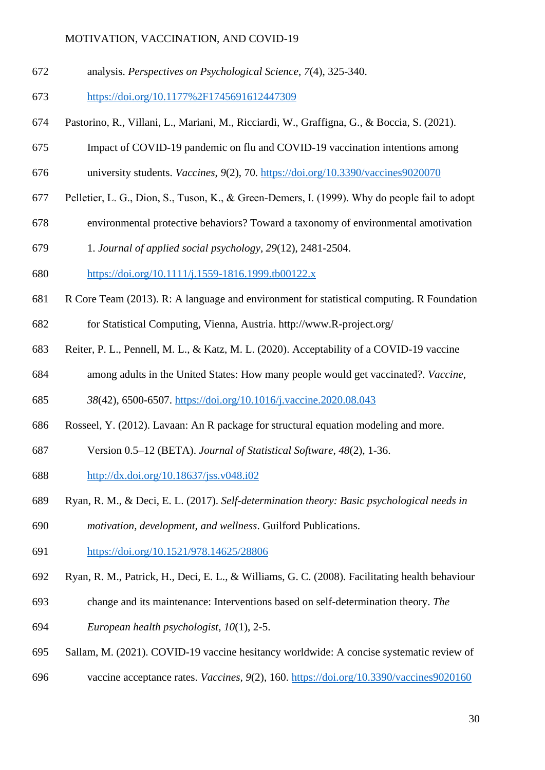analysis. *Perspectives on Psychological Science*, *7*(4), 325-340.

<https://doi.org/10.1177%2F1745691612447309>

- Pastorino, R., Villani, L., Mariani, M., Ricciardi, W., Graffigna, G., & Boccia, S. (2021).
- Impact of COVID-19 pandemic on flu and COVID-19 vaccination intentions among
- university students. *Vaccines*, *9*(2), 70. <https://doi.org/10.3390/vaccines9020070>
- Pelletier, L. G., Dion, S., Tuson, K., & Green‐Demers, I. (1999). Why do people fail to adopt
- environmental protective behaviors? Toward a taxonomy of environmental amotivation
- 1. *Journal of applied social psychology*, *29*(12), 2481-2504.
- [https://doi.org/10.1111/j.1559-1816.1999.tb00122.x](https://psycnet.apa.org/doi/10.1111/j.1559-1816.1999.tb00122.x)
- R Core Team (2013). R: A language and environment for statistical computing. R Foundation
- for Statistical Computing, Vienna, Austria. http://www.R-project.org/
- Reiter, P. L., Pennell, M. L., & Katz, M. L. (2020). Acceptability of a COVID-19 vaccine
- among adults in the United States: How many people would get vaccinated?. *Vaccine*,

*38*(42), 6500-6507. <https://doi.org/10.1016/j.vaccine.2020.08.043>

- Rosseel, Y. (2012). Lavaan: An R package for structural equation modeling and more.
- Version 0.5–12 (BETA). *Journal of Statistical Software*, *48*(2), 1-36.
- <http://dx.doi.org/10.18637/jss.v048.i02>
- Ryan, R. M., & Deci, E. L. (2017). *Self-determination theory: Basic psychological needs in*

*motivation, development, and wellness*. Guilford Publications.

- [https://doi.org/10.1521/978.14625/28806](https://psycnet.apa.org/doi/10.1521/978.14625/28806)
- Ryan, R. M., Patrick, H., Deci, E. L., & Williams, G. C. (2008). Facilitating health behaviour
- change and its maintenance: Interventions based on self-determination theory. *The*
- *European health psychologist*, *10*(1), 2-5.
- Sallam, M. (2021). COVID-19 vaccine hesitancy worldwide: A concise systematic review of
- vaccine acceptance rates. *Vaccines, 9*(2), 160. <https://doi.org/10.3390/vaccines9020160>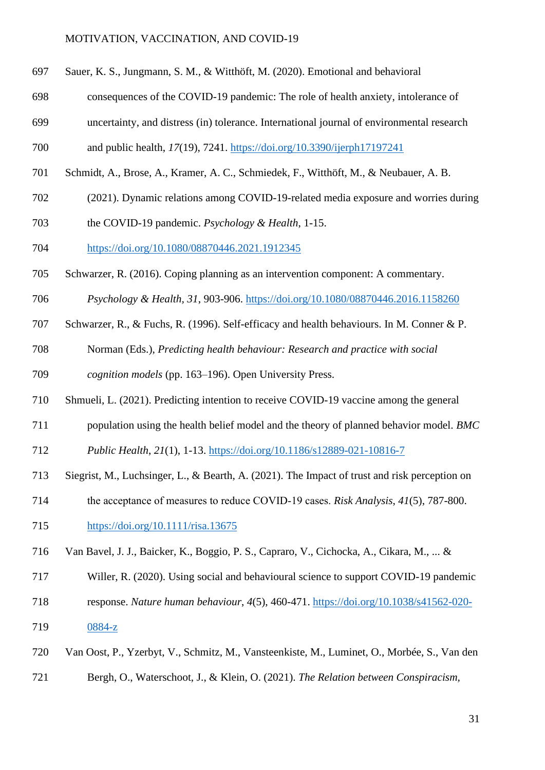- Sauer, K. S., Jungmann, S. M., & Witthöft, M. (2020). Emotional and behavioral
- consequences of the COVID-19 pandemic: The role of health anxiety, intolerance of
- uncertainty, and distress (in) tolerance. International journal of environmental research
- and public health, *17*(19), 7241. <https://doi.org/10.3390/ijerph17197241>
- Schmidt, A., Brose, A., Kramer, A. C., Schmiedek, F., Witthöft, M., & Neubauer, A. B.
- (2021). Dynamic relations among COVID-19-related media exposure and worries during
- the COVID-19 pandemic. *Psychology & Health*, 1-15.
- <https://doi.org/10.1080/08870446.2021.1912345>
- Schwarzer, R. (2016). Coping planning as an intervention component: A commentary.
- *Psychology & Health, 31*, 903-906.<https://doi.org/10.1080/08870446.2016.1158260>
- Schwarzer, R., & Fuchs, R. (1996). Self-efficacy and health behaviours. In M. Conner & P.
- Norman (Eds.), *Predicting health behaviour: Research and practice with social*
- *cognition models* (pp. 163–196). Open University Press.
- Shmueli, L. (2021). Predicting intention to receive COVID-19 vaccine among the general
- population using the health belief model and the theory of planned behavior model. *BMC*
- *Public Health*, *21*(1), 1-13. <https://doi.org/10.1186/s12889-021-10816-7>
- Siegrist, M., Luchsinger, L., & Bearth, A. (2021). The Impact of trust and risk perception on
- the acceptance of measures to reduce COVID‐19 cases. *Risk Analysis*, *41*(5), 787-800.
- <https://doi.org/10.1111/risa.13675>
- Van Bavel, J. J., Baicker, K., Boggio, P. S., Capraro, V., Cichocka, A., Cikara, M., ... &
- Willer, R. (2020). Using social and behavioural science to support COVID-19 pandemic
- response. *Nature human behaviour*, *4*(5), 460-471. [https://doi.org/10.1038/s41562-020-](https://doi.org/10.1038/s41562-020-0884-z)
- [0884-z](https://doi.org/10.1038/s41562-020-0884-z)
- Van Oost, P., Yzerbyt, V., Schmitz, M., Vansteenkiste, M., Luminet, O., Morbée, S., Van den
- Bergh, O., Waterschoot, J., & Klein, O. (2021). *The Relation between Conspiracism,*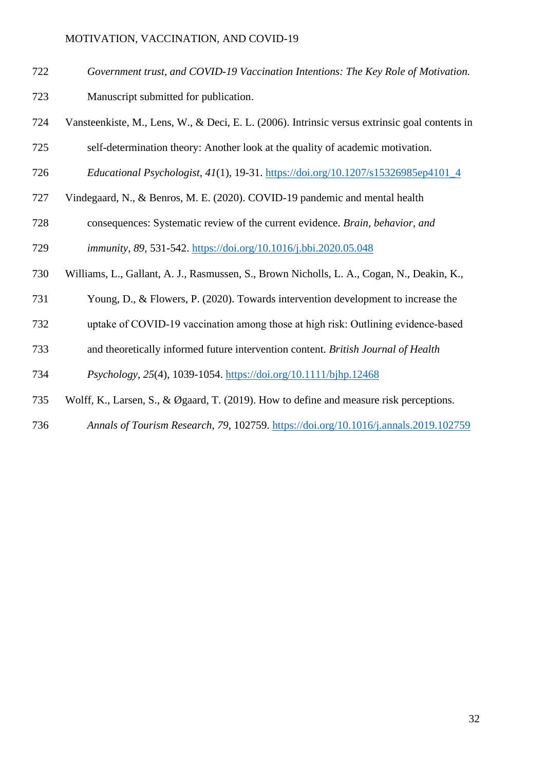- *Government trust, and COVID-19 Vaccination Intentions: The Key Role of Motivation.*
- Manuscript submitted for publication.
- Vansteenkiste, M., Lens, W., & Deci, E. L. (2006). Intrinsic versus extrinsic goal contents in
- self-determination theory: Another look at the quality of academic motivation.
- *Educational Psychologist*, *41*(1), 19-31. [https://doi.org/10.1207/s15326985ep4101\\_4](https://psycnet.apa.org/doi/10.1207/s15326985ep4101_4)
- Vindegaard, N., & Benros, M. E. (2020). COVID-19 pandemic and mental health
- consequences: Systematic review of the current evidence. *Brain, behavior, and*

*immunity*, *89*, 531-542. <https://doi.org/10.1016/j.bbi.2020.05.048>

- Williams, L., Gallant, A. J., Rasmussen, S., Brown Nicholls, L. A., Cogan, N., Deakin, K.,
- Young, D., & Flowers, P. (2020). Towards intervention development to increase the
- uptake of COVID‐19 vaccination among those at high risk: Outlining evidence‐based
- and theoretically informed future intervention content. *British Journal of Health*

*Psychology*, *25*(4), 1039-1054. <https://doi.org/10.1111/bjhp.12468>

- Wolff, K., Larsen, S., & Øgaard, T. (2019). How to define and measure risk perceptions.
- *Annals of Tourism Research*, *79*, 102759. <https://doi.org/10.1016/j.annals.2019.102759>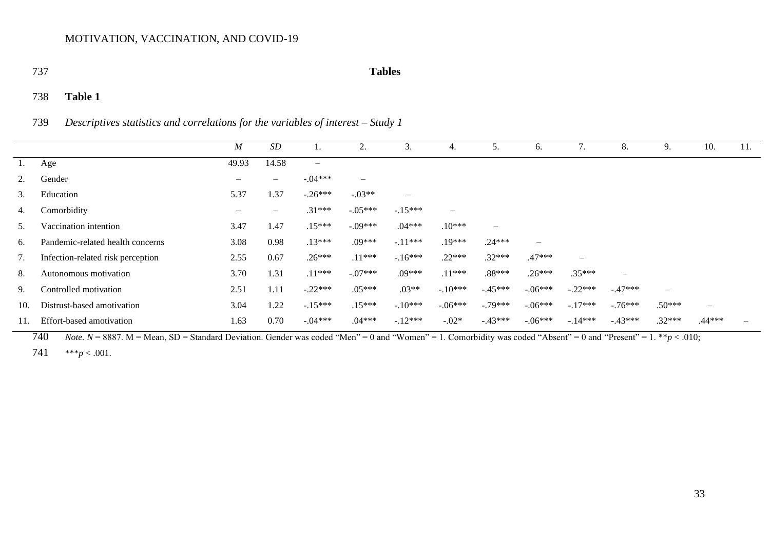#### 737 **Tables**

# 738 **Table 1**

739 *Descriptives statistics and correlations for the variables of interest – Study 1*

|     |                                   | $\boldsymbol{M}$         | $\cal SD$         |                          | 2.                | 3.                       | 4.                | 5.                       | 6.                       |                          | 8.        | 9.                       | 10.               | 11. |
|-----|-----------------------------------|--------------------------|-------------------|--------------------------|-------------------|--------------------------|-------------------|--------------------------|--------------------------|--------------------------|-----------|--------------------------|-------------------|-----|
| 1.  | Age                               | 49.93                    | 14.58             | $\overline{\phantom{m}}$ |                   |                          |                   |                          |                          |                          |           |                          |                   |     |
| 2.  | Gender                            | $\overline{\phantom{m}}$ | $\qquad \qquad -$ | $-.04***$                | $\qquad \qquad -$ |                          |                   |                          |                          |                          |           |                          |                   |     |
| 3.  | Education                         | 5.37                     | 1.37              | $-.26***$                | $-.03**$          | $\overline{\phantom{m}}$ |                   |                          |                          |                          |           |                          |                   |     |
| 4.  | Comorbidity                       | $\overline{\phantom{m}}$ | $\qquad \qquad -$ | $.31***$                 | $-.05***$         | $-.15***$                | $\qquad \qquad -$ |                          |                          |                          |           |                          |                   |     |
| 5.  | Vaccination intention             | 3.47                     | 1.47              | $.15***$                 | $-09***$          | $.04***$                 | $.10***$          | $\overline{\phantom{m}}$ |                          |                          |           |                          |                   |     |
| 6.  | Pandemic-related health concerns  | 3.08                     | 0.98              | $.13***$                 | $.09***$          | $-.11***$                | $.19***$          | $.24***$                 | $\overline{\phantom{m}}$ |                          |           |                          |                   |     |
| 7.  | Infection-related risk perception | 2.55                     | 0.67              | $.26***$                 | $.11***$          | $-16***$                 | $.22***$          | $.32***$                 | $.47***$                 | $\overline{\phantom{m}}$ |           |                          |                   |     |
| 8.  | Autonomous motivation             | 3.70                     | 1.31              | $.11***$                 | $-07***$          | $.09***$                 | $.11***$          | $.88***$                 | $.26***$                 | $.35***$                 | $\equiv$  |                          |                   |     |
| 9.  | Controlled motivation             | 2.51                     | 1.11              | $-.22***$                | $.05***$          | $.03**$                  | $-.10***$         | $-.45***$                | $-.06***$                | $-.22***$                | $-.47***$ | $\overline{\phantom{m}}$ |                   |     |
| 10. | Distrust-based amotivation        | 3.04                     | 1.22              | $-.15***$                | $.15***$          | $-.10***$                | $-.06***$         | $-.79***$                | $-.06***$                | $-.17***$                | $-.76***$ | $.50***$                 | $\qquad \qquad -$ |     |
|     | Effort-based amotivation          | 1.63                     | 0.70              | $-.04***$                | $.04***$          | $-.12***$                | $-.02*$           | $-.43***$                | $-.06***$                | $-.14***$                | $-43***$  | $.32***$                 | $.44***$          |     |

740 *Note.*  $N = 8887$ .  $M = Mean$ ,  $SD = Standard Deviation$ . Gender was coded "Men" = 0 and "Women" = 1. Comorbidity was coded "Absent" = 0 and "Present" = 1. \*\**p* < .010;

741 \*\*\**p* < .001.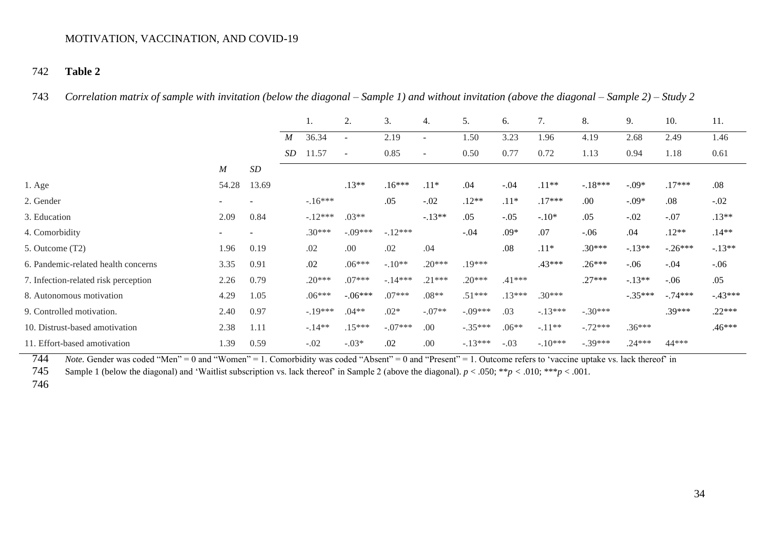# 742 **Table 2**

743 *Correlation matrix of sample with invitation (below the diagonal – Sample 1) and without invitation (above the diagonal – Sample 2) – Study 2*

|                                      |                  |       |                  |           | 2.                       | 3.        | 4.                       | 5.        | 6.       | 7.        | 8.        | 9.        | 10.       | 11.       |
|--------------------------------------|------------------|-------|------------------|-----------|--------------------------|-----------|--------------------------|-----------|----------|-----------|-----------|-----------|-----------|-----------|
|                                      |                  |       | $\boldsymbol{M}$ | 36.34     | $\overline{\phantom{a}}$ | 2.19      | $\overline{\phantom{a}}$ | 1.50      | 3.23     | 1.96      | 4.19      | 2.68      | 2.49      | 1.46      |
|                                      |                  |       | <i>SD</i>        | 11.57     | $\sim$                   | 0.85      | $\sim$                   | 0.50      | 0.77     | 0.72      | 1.13      | 0.94      | 1.18      | 0.61      |
|                                      | $\boldsymbol{M}$ | SD    |                  |           |                          |           |                          |           |          |           |           |           |           |           |
| $1. \text{Age}$                      | 54.28            | 13.69 |                  |           | $.13**$                  | $.16***$  | $.11*$                   | .04       | $-.04$   | $.11**$   | $-.18***$ | $-.09*$   | $.17***$  | .08       |
| 2. Gender                            | $\sim$           |       |                  | $-16***$  |                          | .05       | $-.02$                   | $.12**$   | $.11*$   | $.17***$  | .00       | $-.09*$   | .08       | $-.02$    |
| 3. Education                         | 2.09             | 0.84  |                  | $-12***$  | $.03**$                  |           | $-.13**$                 | .05       | $-.05$   | $-.10*$   | .05       | $-.02$    | $-.07$    | $.13**$   |
| 4. Comorbidity                       | $\sim$           |       |                  | $.30***$  | $-.09***$                | $-12***$  |                          | $-.04$    | $.09*$   | .07       | $-.06$    | .04       | $.12**$   | $.14**$   |
| 5. Outcome (T2)                      | 1.96             | 0.19  |                  | .02       | .00                      | .02       | .04                      |           | .08      | $.11*$    | $.30***$  | $-.13**$  | $-.26***$ | $-.13**$  |
| 6. Pandemic-related health concerns  | 3.35             | 0.91  |                  | .02       | $.06***$                 | $-.10**$  | $.20***$                 | .19***    |          | .43***    | $.26***$  | $-.06$    | $-.04$    | $-.06$    |
| 7. Infection-related risk perception | 2.26             | 0.79  |                  | $.20***$  | $.07***$                 | $-.14***$ | $.21***$                 | $.20***$  | $.41***$ |           | $.27***$  | $-.13**$  | $-.06$    | .05       |
| 8. Autonomous motivation             | 4.29             | 1.05  |                  | $.06***$  | $-.06***$                | $.07***$  | $.08**$                  | $.51***$  | $.13***$ | $.30***$  |           | $-.35***$ | $-.74***$ | $-.43***$ |
| 9. Controlled motivation.            | 2.40             | 0.97  |                  | $-.19***$ | $.04**$                  | $.02*$    | $-.07**$                 | $-.09***$ | .03      | $-.13***$ | $-.30***$ |           | $.39***$  | $.22***$  |
| 10. Distrust-based amotivation       | 2.38             | 1.11  |                  | $-.14**$  | $.15***$                 | $-.07***$ | .00                      | $-.35***$ | $.06**$  | $-.11**$  | $-.72***$ | $.36***$  |           | .46***    |
| 11. Effort-based amotivation         | 1.39             | 0.59  |                  | $-.02$    | $-.03*$                  | .02       | .00                      | $-.13***$ | $-.03$   | $-.10***$ | $-.39***$ | $.24***$  | 44***     |           |

744 *Note*. Gender was coded "Men" = 0 and "Women" = 1. Comorbidity was coded "Absent" = 0 and "Present" = 1. Outcome refers to 'vaccine uptake vs. lack thereof' in

745 Sample 1 (below the diagonal) and 'Waitlist subscription vs. lack thereof' in Sample 2 (above the diagonal). *p* < .050; \*\**p <* .010; \*\*\**p* < .001.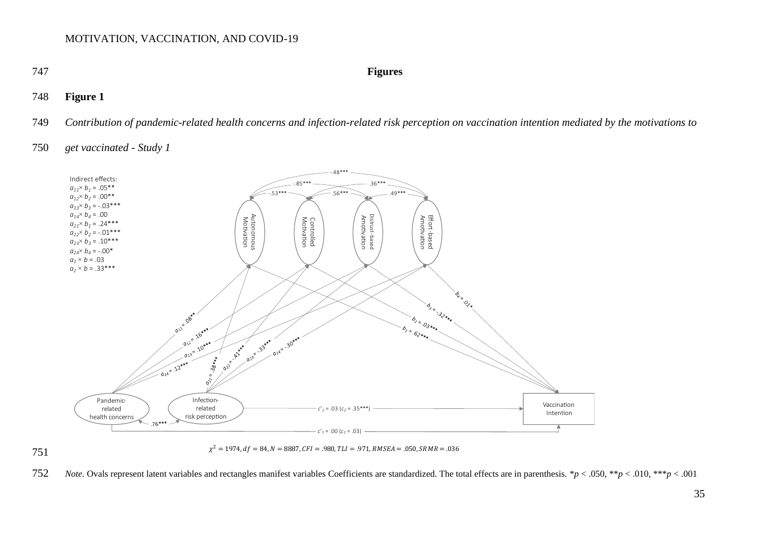#### 747 **Figures**

# 748 **Figure 1**

749 Contribution of pandemic-related health concerns and infection-related risk perception on vaccination intention mediated by the motivations to

## 750 *get vaccinated - Study 1*



751



752 *Note*. Ovals represent latent variables and rectangles manifest variables Coefficients are standardized. The total effects are in parenthesis.  $*p < .050, **p < .010, **p < .001$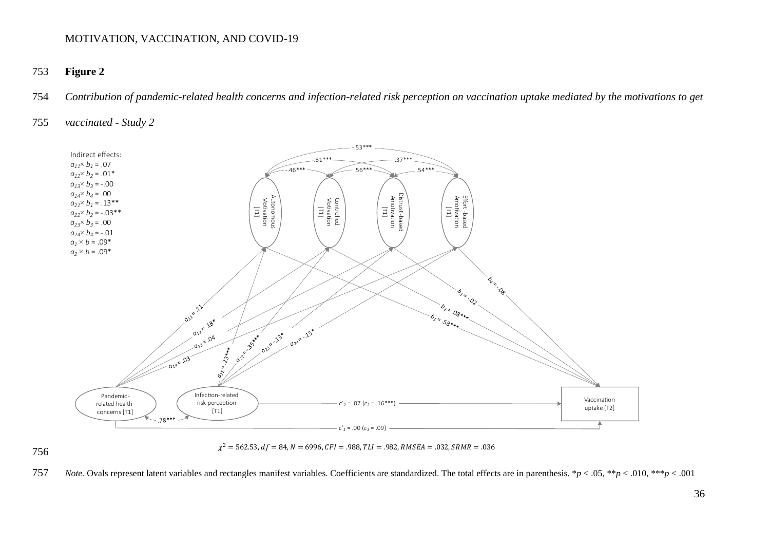# 753 **Figure 2**

754 *Contribution of pandemic-related health concerns and infection-related risk perception on vaccination uptake mediated by the motivations to get* 

# 755 *vaccinated - Study 2*



756



757 *Note*. Ovals represent latent variables and rectangles manifest variables. Coefficients are standardized. The total effects are in parenthesis.  $*p < .05, **p < .010, **p < .001$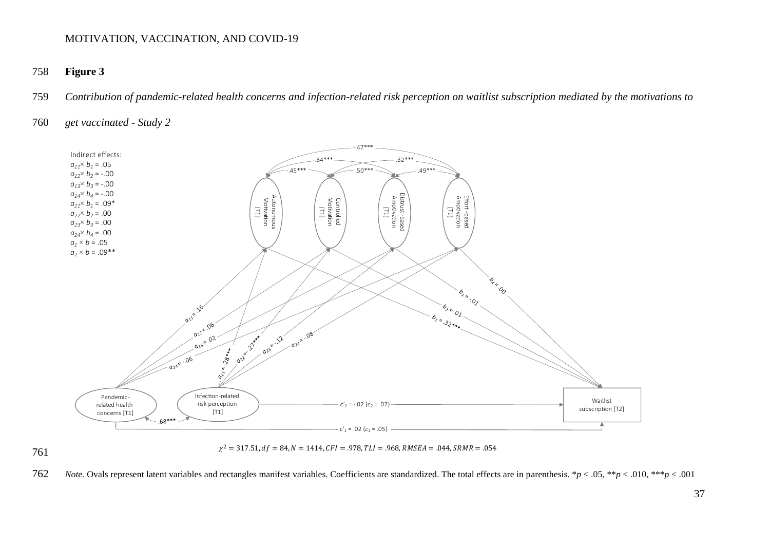# 758 **Figure 3**

759 *Contribution of pandemic-related health concerns and infection-related risk perception on waitlist subscription mediated by the motivations to* 

## 760 *get vaccinated - Study 2*



![](_page_36_Figure_6.jpeg)

![](_page_36_Figure_7.jpeg)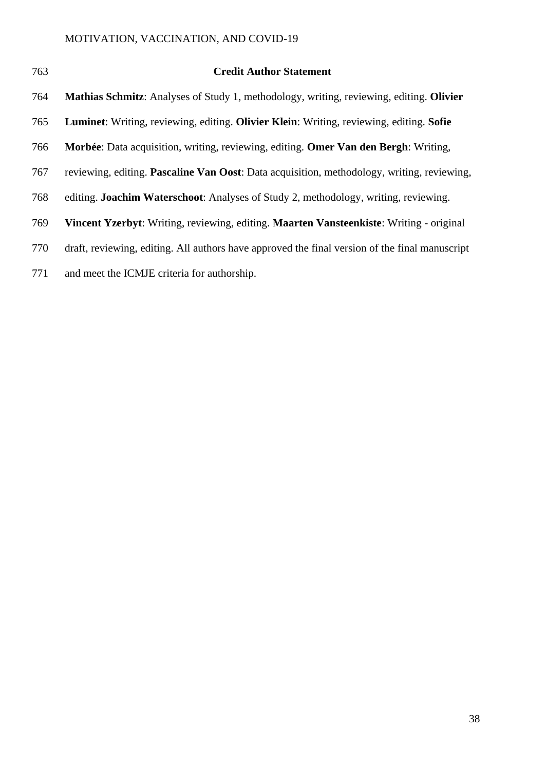| 763 | <b>Credit Author Statement</b>                                                                     |
|-----|----------------------------------------------------------------------------------------------------|
| 764 | Mathias Schmitz: Analyses of Study 1, methodology, writing, reviewing, editing. Olivier            |
| 765 | <b>Luminet:</b> Writing, reviewing, editing. Olivier Klein: Writing, reviewing, editing. Sofie     |
| 766 | <b>Morbée:</b> Data acquisition, writing, reviewing, editing. <b>Omer Van den Bergh</b> : Writing, |
| 767 | reviewing, editing. <b>Pascaline Van Oost</b> : Data acquisition, methodology, writing, reviewing, |
| 768 | editing. <b>Joachim Waterschoot</b> : Analyses of Study 2, methodology, writing, reviewing.        |
| 769 | Vincent Yzerbyt: Writing, reviewing, editing. Maarten Vansteenkiste: Writing - original            |
| 770 | draft, reviewing, editing. All authors have approved the final version of the final manuscript     |
| 771 | and meet the ICMJE criteria for authorship.                                                        |